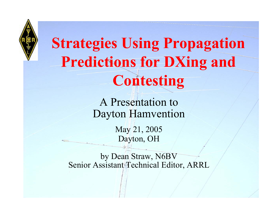

# **Strategies Using Propagation Predictions for DXing and Contesting**

A Presentation to Dayton Hamvention

> May 21, 2005 Dayton, OH

by Dean Straw, N6BV Senior Assistant Technical Editor, ARRL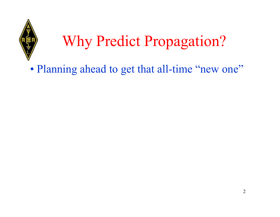

# Why Predict Propagation?

•• Planning ahead to get that all-time "new one"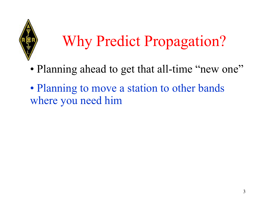

# Why Predict Propagation?

- •• Planning ahead to get that all-time "new one"
- •• Planning to move a station to other bands where you need him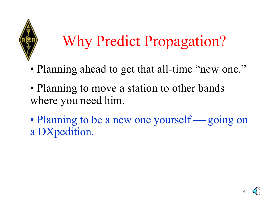

# Why Predict Propagation?

- •Planning ahead to get that all-time "new one."
- •• Planning to move a station to other bands where you need him.
- •• Planning to be a new one yourself. and the control of the control of the control of the control of the control of the control of the control of the going on a DXpedition.

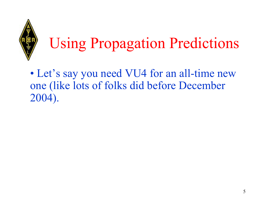

# Using Propagation Predictions

• Let's say you need VU4 for an all-time new one (like lots of folks did before December 2004).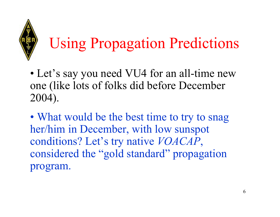

# Using Propagation Predictions

- Let's say you need VU4 for an all-time new one (like lots of folks did before December 2004).
- •• What would be the best time to try to snag her/him in December, with low sunspot conditions? Let's try native *VOACAP*, considered the "gold standard" propagation program.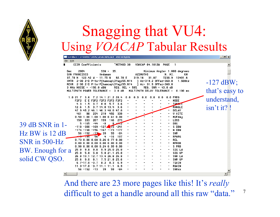

### Snagging that VU4: Using *VOACAP* Tabular Results

|                        | Scrollw:C:\ITSHFBC\RUN\VOACAPx.out 49134 bytes                                                                                                                                                       | $  E $ $\times$           |
|------------------------|------------------------------------------------------------------------------------------------------------------------------------------------------------------------------------------------------|---------------------------|
|                        | File Edit                                                                                                                                                                                            |                           |
|                        | <b>CCIR Coefficients</b><br>$~\tilde{}$ METHOD 30<br><b>UOACAP 04.1012W</b><br>PAGE<br>-1                                                                                                            |                           |
| <b>Dec</b>             | 2004<br>$SSN = 35$ .<br>Minimum Angle= 1.000 degrees<br>SAN FRANCISCO<br><b>AZIMUTHS</b><br>N. MI.<br>KM<br>Andaman<br>13401.6<br>37.78 N 122.42 W - 11.75 N<br>92.70 E<br>31.87<br>7236.9<br>319.16 |                           |
|                        | XMTR 2-30 2-D P-to-P[hamcap\3Yaqi55.N14<br>1 Az=319.2 OFFaz=360.0<br>1.500kW<br>RCUR 2-30 2-D P-to-P[hamcap\3Yaqi55.N14<br>] Az= 31.9 OFFaz=360.0                                                    | $-127$ dBW;               |
|                        | 3 MHz NOISE = -150.0 dBW<br>REQ. REL = 50%<br>$REQ. SNR = 43.0 dB$<br>MULTIPATH DELAY TOLERANCE =<br>MULTIPATH POWER TOLERANCE =<br>3.0dB<br>$0.100$ ms                                              | that's easy to            |
|                        | <b>FREQ</b><br>1.021.7<br>7.2 14.1 21.2 28.4<br>0<br>. 0<br>3.6<br>0.<br>0<br>0.<br>MODE<br>F <sub>2F<sub>2</sub></sub><br>E E F2F2 F2F2 F2F2 F2F2                                                   | understand,               |
|                        | <b>TOMALE</b><br>4.3<br>1.5<br>3.7<br>8.0<br>5.7<br>3.6<br>RANGLE<br>12.6<br>1.5<br>3.7 14.0 13.4<br>3.6<br><b>DELAY</b>                                                                             | $\sin$ <sup>t</sup> it? ! |
|                        | 47.9 45.2 46.1 46.3 48.0 47.0<br>U HITE<br>461<br>98<br>234<br>219 456<br>339                                                                                                                        |                           |
|                        | 1.00 1.00 1.00 0.61 0.00<br><b>MUFday</b><br>0.50<br>LOSS<br>150<br>333<br>207<br>159<br>146<br>- 273                                                                                                |                           |
| 39 dB SNR in 1-        | 5.<br>$-165$<br>$-44$<br><b>DBU</b><br>-8<br>$8 \times 2$                                                                                                                                            |                           |
|                        | $-300 - 169 - 127$ $\sqrt{15} - 241$<br>$-118$<br>S DBW                                                                                                                                              |                           |
| $Hz$ BW is 12 dB       | $-174 - 148 - 156 - 167 - 173$<br>N DBW<br>$-177$<br><b>SNR</b><br>56 - 152<br>$-13$<br>$\blacktriangleright$ 39<br>59<br>-64                                                                        |                           |
|                        | -56<br>$-16$<br>107<br><b>RPWRG</b><br>$+5 - 195$<br>4                                                                                                                                               |                           |
| SNR in 500-Hz          | 0.73 0.00 0.00 0.26 0.77 0.00<br><b>REL</b>                                                                                                                                                          |                           |
|                        | 0.00 0.00 0.00 0.00 0.00 0.00<br><b>MPROB</b>                                                                                                                                                        |                           |
|                        | S PRB<br>$0.98$ $0.00$ $0.00$ $0.24$ $0.99$ $0.00$<br>SIG LW<br>25.0 9.8 9.8 9.9 25.0 25.0                                                                                                           |                           |
| BW. Enough for a       | 25.0<br>5.8<br>5.8 5.8 21.1 25.0<br>SIG UP                                                                                                                                                           |                           |
|                        | SNR LW<br>26.8 13.1 12.7 13.4 26.8 26.8                                                                                                                                                              |                           |
| solid CW QSO.          | SNR UP<br>9.0<br>8.1<br>7.5 21.8 25.6<br>25.6                                                                                                                                                        |                           |
|                        | $6.7 - 17.0 - 3.7$<br>$8.2$ $8.3$<br>6.9<br>TGAIN                                                                                                                                                    |                           |
|                        | RGAIN<br>$11.3 - 17.0 - 3.7$ 11.1 11.1<br>6.9<br><b>SNRxx</b><br>$56 - 152 - 13$<br>39<br>59<br>-64                                                                                                  |                           |
| $\left  \cdot \right $ |                                                                                                                                                                                                      |                           |
|                        |                                                                                                                                                                                                      |                           |

And there are 23 more pages like this! It's *really*  difficult to get a handle around all this raw "data."

7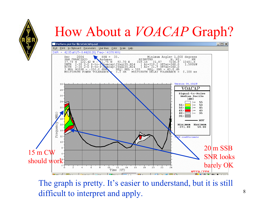### How About a *VOACAP* Graph?



The graph is pretty. It's easier to understand, but it is still difficult to interpret and apply.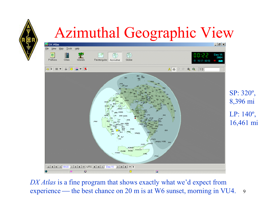

# Azimuthal Geographic View



9*DX Atlas* is a fine program that shows exactly what we'd expect from experience the best chance on 20 m is at W6 sunset, morning in VU4.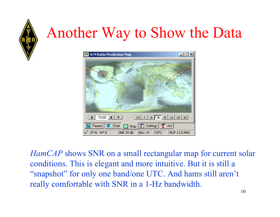

# Another Way to Show the Data



*HamCAP* shows SNR on a small rectangular map for current solar conditions. This is elegant and more intuitive. But it is still a "snapshot" for only one band/one UTC. And hams still aren't really comfortable with SNR in a 1-Hz bandwidth.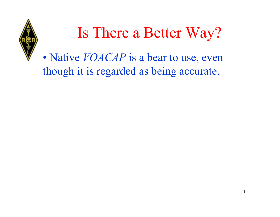

# Is There a Better Way?

•• Native *VOACAP* is a bear to use, even though it is regarded as being accurate.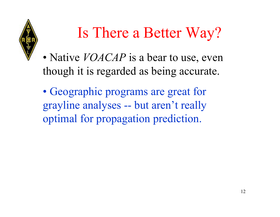

# Is There a Better Way?

- •• Native *VOACAP* is a bear to use, even though it is regarded as being accurate.
- •• Geographic programs are great for grayline analyses -- but aren't really optimal for propagation prediction.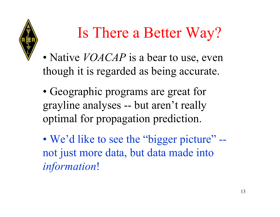

# Is There a Better Way?

- •• Native *VOACAP* is a bear to use, even though it is regarded as being accurate.
- •• Geographic programs are great for grayline analyses -- but aren't really optimal for propagation prediction.
- •• We'd like to see the "bigger picture" -not just more data, but data made into *information*!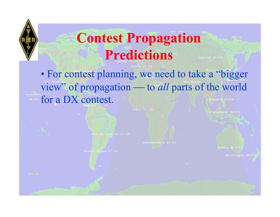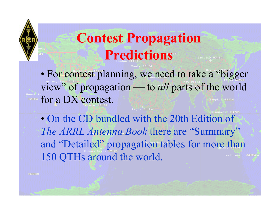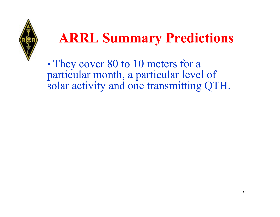

### **ARRL Summary Predictions**

•• They cover 80 to 10 meters for a particular month, a particular level of solar activity and one transmitting QTH.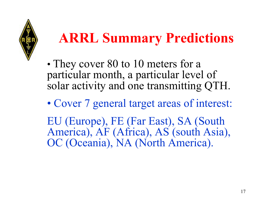

## **ARRL Summary Predictions**

- •• They cover 80 to 10 meters for a particular month, a particular level of solar activity and one transmitting QTH.
- Cover 7 general target areas of interest:

EU (Europe), FE (Far East), SA (South America), AF (Africa), AS (south Asia), OC (Oceania), NA (North America).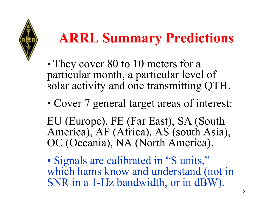

## **ARRL Summary Predictions**

- •• They cover 80 to 10 meters for a particular month, a particular level of solar activity and one transmitting QTH.
- Cover 7 general target areas of interest:

EU (Europe), FE (Far East), SA (South America), AF (Africa), AS (south Asia), OC (Oceania), NA (North America).

•• Signals are calibrated in "S units," which hams know and understand (not in SNR in a 1-Hz bandwidth, or in dBW).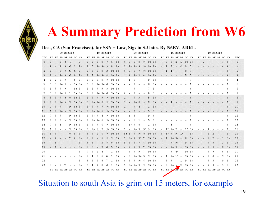# **A Summary Prediction from W6**

#### Dec., CA (San Francisco), for SSN = Low, Sigs in S-Units. By N6BV, ARRL.

|              |              |                      |      | 80 Meters                |                |                |           |    |      |              |      | 40 Meters            |           |      |                          |              |         |    | 20 Meters |                      |      |     |      |                      |                          | 15 Meters                |           |      |   |                      |    |   | 10 Meters                |              |      |                |
|--------------|--------------|----------------------|------|--------------------------|----------------|----------------|-----------|----|------|--------------|------|----------------------|-----------|------|--------------------------|--------------|---------|----|-----------|----------------------|------|-----|------|----------------------|--------------------------|--------------------------|-----------|------|---|----------------------|----|---|--------------------------|--------------|------|----------------|
| UTC          |              | EU FE SA AF AS OC NA |      |                          |                |                |           |    |      |              |      | EU FE SA AF AS OC NA |           |      |                          |              |         |    |           | EU FE SA AF AS OC NA |      |     |      | EU FE SA AF AS OC NA |                          |                          |           |      |   | EU FE SA AF AS OC NA |    |   |                          |              |      | UTC            |
| $\mathbf{0}$ | 8            |                      | 5    | 8                        | $\overline{4}$ | $\overline{a}$ | $9+$      | 9  | 5    | $9+$         | 9    | 9                    | 6         | $9+$ | $4\overline{ }$          | $9+$         | $9 + 9$ |    | 9         | $9+$                 | $9+$ | $-$ |      | $9 + 9 + 2$          |                          | $\mathbf{1}$             | $9 + 9 +$ |      | ٠ | $\overline{2}$       | W. | ು | $\overline{\phantom{a}}$ | 7            | - 6  | $\circ$        |
| $\mathbf{1}$ | 8            |                      | 9    | 9                        | 6              |                | $9+$      | 9  | 5    | $9+$         | $9+$ | 9                    | 8         | $9+$ | 3                        | $9+$         | $9+$    | 9  | $9+$      | $9 + 9 +$            |      |     | 9    | 7                    | $\frac{1}{2}$            | 6                        | 9         | 7    |   |                      |    |   |                          |              | 6    | $1\,$          |
| 2            | 9            |                      | 9    | e                        | 5              | 5              | $9+$      | 9+ |      | $9+$         | $9+$ | 8                    | $9+$      | $9+$ | 4                        | $9+$         | $9+$    |    | $9+$      | $9 + 9 +$            |      |     |      |                      |                          |                          | 8         |      |   |                      |    |   |                          |              | 6    | $\overline{2}$ |
| 3            | 9            |                      | $9+$ |                          |                | g              | $9+$      | 9  |      | $9+$         | $9+$ | $\overline{8}$       | $9 + 9 +$ |      | 1                        | 6            | $9+$    | -3 | 4         | $9 + 9 +$            |      |     |      |                      |                          |                          | 5         | 7    |   |                      |    |   |                          |              | 6    | $\overline{3}$ |
| 4            | 9            | 2                    | 9+   | 9                        |                | 9              | 9+        | 9+ | 8    | 9+           | 9+   | 9                    | 9+        | $9+$ |                          | L.           | 9       |    |           | 9                    | 9+   |     |      |                      |                          |                          |           | 7    |   |                      |    |   |                          |              | 6    | 4              |
| 5            | 9            | 5                    | 9+   | -9                       |                | $9+$           | 9+        | 9  | 8    | 9+           | 9+   | 8                    | 9+        | $9+$ |                          |              |         |    |           | 8                    | 9+   |     |      |                      |                          |                          |           | 6    |   |                      |    |   |                          |              | 6    | 5              |
| 6            | 9            |                      | 9.   | -9                       |                | $9+$           | 9+        | 9  | 8    | 9+           | 9+   | 8                    | 9+        | $9+$ |                          |              |         |    |           |                      | 9    |     |      |                      |                          |                          |           |      |   |                      |    |   |                          |              | 6    | 6              |
| 7            | 9            | 8                    | 9+   | 9                        | 1              | 9+             | 9+        | 9  | 9    | 9+           | 9+   | 8                    | 9+        | $9+$ | 2                        |              |         |    |           |                      | 9    |     |      |                      |                          |                          |           |      |   |                      |    |   |                          |              | 6    | 7              |
| 8            | 8            | 9                    | $9+$ | 8                        | 8              | $9 + 9 +$      |           | 9  | 9    | $9+$         | 9    | 9                    | $9+$      | $9+$ | 1.                       |              | 9       |    |           | 5                    | $9+$ |     |      |                      |                          |                          |           | Б    |   |                      |    |   |                          |              | 6    | 8              |
| 9            | 8            | 9                    | $9+$ | 6                        | 9              |                | $9 + 9 +$ | 9  | $9+$ | $9+$         | 8    | 9                    | $9+$      | $9+$ | 3                        |              | $9+$    | 8  |           | 2                    | $9+$ |     |      |                      |                          |                          |           | 6    |   |                      |    |   |                          |              | 6    | 9              |
| 10           | $\mathbf{1}$ |                      | $9+$ |                          | 9              | $9 + 9 +$      |           | 9  | 9    | $9+$         |      | 9+                   | $9+$      | $9+$ |                          |              |         |    |           |                      | $9+$ |     |      |                      |                          |                          |           |      |   |                      |    |   |                          |              | 6    | 10             |
| 11           | 6            |                      |      |                          | 9              | $9 + 9 +$      |           | 8  | $9+$ | $9+$         | 6    | $9+$                 | $9 + 9 +$ |      |                          |              |         |    |           | 5                    | 9    |     |      |                      |                          |                          |           | 6    |   |                      |    |   |                          |              | 6    | 11             |
| 12           | 7            | 9                    | 9+   | $\overline{\phantom{a}}$ | 9              |                | 9+ 9+     | 9  | 9+   | 9            | 4    | 9                    | 9+        | $9+$ |                          | 1            | 3       |    |           | 9                    | 6    |     |      |                      |                          |                          |           |      |   |                      |    |   |                          |              | 6    | 12             |
| 13           | 8            | 9                    | 8    |                          | 9              | $9+$           | 9+        | 8  | 9+   | 9+           | -6   | 9+                   | 9+        | $9+$ |                          |              | 6       |    |           | 5                    | 9    |     |      |                      |                          |                          |           | 6    |   |                      |    |   |                          |              | 6    | 13             |
| 14           | 7            |                      |      |                          | 9              |                | 9+ 9+     | 9  | 9    | 9            | 6    | 9                    | $9 + 9 +$ |      | $\overline{\phantom{a}}$ | $1*$         | 9+      | 8  |           | ı                    | 9+   |     |      |                      |                          |                          |           | 6    |   |                      |    |   |                          |              | 6    | 14             |
| 15           | 6            | 9                    |      |                          | 9              | 9+             | 9+        | 9  | 9+   | -6           |      | 9+                   | $9 + 9 +$ |      | 9.                       |              | 9+      | 9  | 5*        | з                    | 9+   |     | $1*$ | 9+                   |                          |                          | $1*$      | 9+   |   |                      |    |   |                          |              | 6    | 15             |
| 16           | 5            |                      |      |                          | 8              | 9              | $9+$      | 8  | 9    | $\mathbf{1}$ |      | 9                    | $9+$      | $9+$ | $9+$                     | $\mathbf{1}$ | $9+$    | 9+ | 8         | $9+$                 | $9+$ |     | $1*$ | $9+$                 | 9                        | $1*$                     |           | $9+$ |   |                      | 8  |   |                          |              | 9    | 16             |
| 17           |              |                      |      |                          |                | 6              | $9+$      | 8  | 9    |              | 6    | 9                    | 9         | $9+$ | 9                        | $9+$         | 9       | 9* | 7         | $9+$                 | $9+$ |     | 1    | $9+$                 | $9+$                     |                          | 8         | $9+$ |   |                      | 9  |   |                          | $\mathbf{1}$ | $9+$ | 17             |
| 18           |              |                      |      |                          |                |                | $9+$      | 8  | 8    |              |      |                      | 8         | $9+$ | 9                        | 9            | 8       |    |           | 9+                   | $9+$ |     |      | $9+$                 | $9+$                     | $\overline{\phantom{a}}$ | 9         | $9+$ |   |                      | 9  |   |                          | 2            | $9+$ | 18             |
| 19           |              |                      |      |                          |                |                | $9+$      |    |      |              |      |                      | 5         | $9+$ |                          |              |         |    |           | $9+$                 | $9+$ |     |      |                      | 9                        |                          | $9+$      | $9+$ |   |                      | 9  |   |                          | 8            | $9+$ | 19             |
| 20           |              |                      |      |                          |                |                | 9+        | 7  |      |              |      |                      |           | $9+$ |                          |              |         | 9  |           | 9+                   | 9+   |     |      |                      |                          |                          | 9+        | 9+   |   |                      | 9  | 9 |                          | 6            | 9+   | 20             |
| 21           |              |                      |      |                          |                |                | 9+        |    |      |              |      |                      |           | 9+   |                          | 9            | 9+      | 9. | 5         | 9                    | 9+   |     |      |                      | -1                       |                          | 9+        | 9+   |   |                      | 9  |   |                          | 9            | 9+   | 21             |
| 22           |              |                      |      |                          |                |                | 9+        | 8  | 3    | 6            |      |                      |           | $9+$ | 4                        | 9            | 9+      | 9+ | 6         | 9+                   | $9+$ |     | 9    | 9+                   |                          | 1                        | 9         | 9+   |   |                      | 9  | 3 |                          | 9            | 9    | 22             |
| 23           | 7            |                      | 2    |                          |                |                | 9+        | 9  |      | 9            | Я    |                      | З         | $9+$ | 1                        | $9+$         | $9+$    | 9  | 9         | $9 + 9 +$            |      |     | 9    | 9+                   | $\overline{\phantom{a}}$ |                          | 9+        | -9+  |   |                      |    |   |                          | 1            | 7    | 23             |
|              |              | EU FE SA AF AS OC NA |      |                          |                |                |           |    |      |              |      | EU FE SA AF AS OC NA |           |      |                          |              |         |    |           | EU FE SA AF AS OC NA |      |     |      | EU FE SA AF AS OC NA |                          |                          |           |      |   | EU FE SA AF AS OC NA |    |   |                          |              |      |                |

Situation to south Asia is grim on 15 meters, for example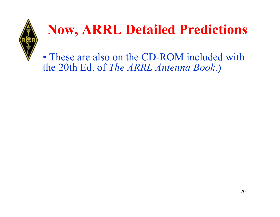

## **Now, ARRL Detailed Predictions**

• These are also on the CD-ROM included with the 20th Ed. of *The ARRL Antenna Book*.)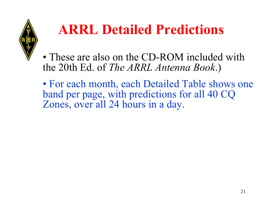

## **ARRL Detailed Predictions**

• These are also on the CD-ROM included with the 20th Ed. of *The ARRL Antenna Book*.)

• For each month, each Detailed Table shows one band per page, with predictions for all 40 CQ Zones, over all 24 hours in a day.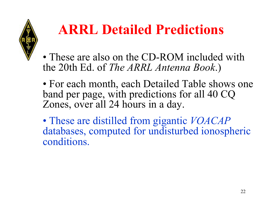

## **ARRL Detailed Predictions**

• These are also on the CD-ROM included with the 20th Ed. of *The ARRL Antenna Book*.)

• For each month, each Detailed Table shows one band per page, with predictions for all 40 CQ Zones, over all 24 hours in a day.

• These are distilled from gigantic *VOACAP* databases, computed for undisturbed ionospheric conditions.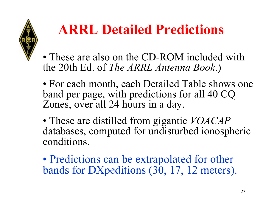

## **ARRL Detailed Predictions**

• These are also on the CD-ROM included with the 20th Ed. of *The ARRL Antenna Book*.)

- For each month, each Detailed Table shows one band per page, with predictions for all 40 CQ Zones, over all 24 hours in a day.
- These are distilled from gigantic *VOACAP* databases, computed for undisturbed ionospheric conditions.

•• Predictions can be extrapolated for other bands for DXpeditions (30, 17, 12 meters).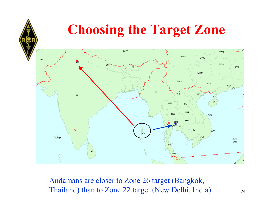## **Choosing the Target Zone**



Andamans are closer to Zone 26 target (Bangkok, Thailand) than to Zone 22 target (New Delhi, India).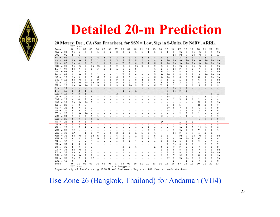

### **Detailed 20-m Prediction**

### 20 Meters: Dec., CA (San Francisco), for SSN = Low, Sigs in S-Units. By N6BV, ARRL.

|                     | ັ              |                |                          |                |                          |                |                          |                |              |                          |                |                          |                |                          |                                                                                                                                                                                                                                                                                                                                                     |                          |                          |      |              |                          |                          |                          |                          |                          |  |
|---------------------|----------------|----------------|--------------------------|----------------|--------------------------|----------------|--------------------------|----------------|--------------|--------------------------|----------------|--------------------------|----------------|--------------------------|-----------------------------------------------------------------------------------------------------------------------------------------------------------------------------------------------------------------------------------------------------------------------------------------------------------------------------------------------------|--------------------------|--------------------------|------|--------------|--------------------------|--------------------------|--------------------------|--------------------------|--------------------------|--|
| Zone                | 00             | 01             | 02                       | 03             | 04                       | 05             | 06                       | 07             | 08           | 09                       | 10             | 11                       | 12             | 13                       | 14                                                                                                                                                                                                                                                                                                                                                  | 15                       | 16                       | 17   | 18           | 19                       | 20                       | 21                       | 22                       | 23                       |  |
| $KL7 = 01$          | $9+$           | 6              | $9+$                     | 8              | 1                        | 2              | 2                        | 2              | 2            | 2                        | 1              | $\mathbf 1$              | 1              | ı                        | 1                                                                                                                                                                                                                                                                                                                                                   | 1                        | 6                        | $9+$ | 9            | 9+                       | $9+$                     | 9+                       | $9+$                     | $9+$                     |  |
| $VO2 = 02$          | 9              | 4              | $\overline{\phantom{a}}$ |                |                          |                |                          |                | ۰            | $\overline{\phantom{a}}$ |                | $\overline{\phantom{a}}$ |                |                          | $\overline{a}$                                                                                                                                                                                                                                                                                                                                      | $\overline{\phantom{a}}$ | $9+$                     | $9+$ | $9+$         | $9+$                     | $9+$                     | $9+$                     | $9+$                     | 1                        |  |
| $W6 =$<br>03        | 3              | $\overline{4}$ | $\overline{4}$           | $\overline{4}$ | $\overline{4}$           | 3              | $\overline{\mathbf{3}}$  | 3              | 3            | $\overline{4}$           | 4              | $\overline{4}$           | 3              | 3                        | 3                                                                                                                                                                                                                                                                                                                                                   | 3                        | 3                        | 3    | 3            | 3                        | 3                        | 3                        | $\overline{3}$           | 3                        |  |
| W9<br>04<br>$=$     | $9+$           | $9+$           | 9                        | 5              | 1                        | $\mathbf{1}$   | $\mathbf{1}$             | 3              | 8            | 8                        | 8              | 2                        | ۰              | ۰                        | 9                                                                                                                                                                                                                                                                                                                                                   | $9+$                     | $9+$                     | $9+$ | $9+$         | $9+$                     | $9+$                     | $9+$                     | $9+$                     | $9+$                     |  |
| $W3 =$<br>05        | $9+$           | $\overline{4}$ | 6                        | 3              | $\mathbf{1}$             | ı              | 1                        | $\overline{4}$ | 7            | 7                        | 6              | $\overline{\mathbf{2}}$  | 1              | 6                        | 3                                                                                                                                                                                                                                                                                                                                                   | $9+$                     | $9+$                     | $9+$ | $9+$         | $9+$                     | $9+$                     | $9+$                     | $9+$                     | $9+$                     |  |
| $XE1 = 06$          | $9+$           | $9+$           | $9+$                     | $9+$           | 9+                       | $9+$           | 9                        | 9              | $9+$         | $9+$                     | $9+$           | 9                        | 6              | 9                        | $9+$                                                                                                                                                                                                                                                                                                                                                | $9+$                     | $9+$                     | $9+$ | $9+$         | $9+$                     | $9+$                     | 9+                       | $9+$                     | $9+$                     |  |
| $TI =$<br>07        | $9+$           | 7              | 9                        | 5              | з                        | 2              | 1                        | 1              | 6            | ٥                        | 5              |                          |                | 4                        | 1                                                                                                                                                                                                                                                                                                                                                   | 9+                       | $9+$                     | 9    | 7            | 9                        | 9                        | 9+                       | $9+$                     | $9+$                     |  |
| $VP2 = 08$          | 9              | 8              | 6                        | ı              |                          |                |                          |                | 6            | 8                        | 4              |                          |                | 5                        | $9+$                                                                                                                                                                                                                                                                                                                                                | 9+                       | 9                        | 8    | 8            | 9                        | 9                        | 9+                       | $9+$                     | $9+$                     |  |
| $P4 =$<br>09        | 9              |                | 7                        | $\overline{2}$ | ı                        |                |                          |                | 7            | 8                        |                | -                        |                | 5                        |                                                                                                                                                                                                                                                                                                                                                     | 9+                       | 9                        | 8    | 8            | 8                        | 9                        |                          |                          | $9+$                     |  |
|                     |                | 9+             |                          | 7              |                          | ٠              |                          | 1              |              |                          | 4              |                          |                |                          | $9+$                                                                                                                                                                                                                                                                                                                                                |                          |                          |      |              |                          |                          | 9+                       | $9+$                     |                          |  |
| $HC =$<br>10        | $9+$           | 9              | a                        |                | 6                        | 5              | 4                        | 6              | 6            | 5<br>Q                   |                | ۰                        |                | 6                        | $9+$                                                                                                                                                                                                                                                                                                                                                | 9+                       | 9                        | 6    | 6            | 7                        | 8                        | 9                        | 9+                       | 9+                       |  |
| $PY1 = 11$          | $9+$           | $9+$           | $9+$                     | 9              | 9                        | 9              | Q                        | Q              | 8            |                          | 8              | 4                        | з              | 5                        | 5                                                                                                                                                                                                                                                                                                                                                   | 1                        | 1                        | 1    | 1            | 4                        | 6                        | 8                        | 9                        | 9+                       |  |
| $CE =$<br>12        | $9+$           | $9+$           | $9+$                     | $9+$           | 9                        | Q              | 9                        | 9              | 9            | 9                        | Q              | 7                        | ۰              | 4                        | 9                                                                                                                                                                                                                                                                                                                                                   | 8                        | 6                        | 3    | 2            | 2                        | 4                        | 6                        | 8                        | $9+$                     |  |
| $LU =$<br>13        | $9+$           | 9+             | $9+$                     | 9              | 9                        | 9              | 9                        | 9              | 9            | $9+$                     | 9              | 5                        |                | 6                        | 7                                                                                                                                                                                                                                                                                                                                                   | 4                        | 1                        | 1    | $\mathbf{1}$ | ı                        | 5                        | 6                        | 8                        | 9                        |  |
| $G =$<br>14         |                |                | ۰                        |                |                          |                |                          |                |              |                          |                |                          |                |                          |                                                                                                                                                                                                                                                                                                                                                     | 8                        | $9+$                     | 9    | 9            |                          |                          |                          |                          |                          |  |
| 15<br>$I =$         | $\overline{2}$ | $\overline{a}$ | $\overline{4}$           | $\mathbf{1}$   |                          |                |                          |                | $\mathbf{1}$ | 3                        | 1              |                          |                |                          |                                                                                                                                                                                                                                                                                                                                                     | 9                        | $9+$                     | 9    | 2            |                          |                          |                          |                          |                          |  |
| $\texttt{UA3} = 16$ | 4              | 3              | $\mathbf{1}$             |                |                          |                |                          | $\overline{2}$ |              |                          |                |                          |                |                          |                                                                                                                                                                                                                                                                                                                                                     | 6                        | -                        |      |              |                          |                          |                          | 4                        | 1                        |  |
| $UN =$<br>17        |                | 3              | 7                        | 4              |                          |                |                          |                |              |                          |                |                          |                |                          | $\overline{\phantom{0}}$                                                                                                                                                                                                                                                                                                                            | $1*$                     | 1                        | 3    | 6            | 7                        | 7                        | 4                        | ı                        | $\overline{\phantom{0}}$ |  |
| $U A9 = 18$         |                | 4              | 8                        | 4              |                          |                |                          |                |              |                          |                |                          |                |                          |                                                                                                                                                                                                                                                                                                                                                     |                          | 1                        | 3    | 4            | ı                        | 1                        |                          |                          |                          |  |
| $UAO = 19$          | $9+$           | $9+$           | $9+$                     | 5              |                          |                |                          |                |              |                          |                |                          |                |                          |                                                                                                                                                                                                                                                                                                                                                     |                          |                          |      |              |                          | 2                        | 9                        | 9                        | $9+$                     |  |
| $4X =$<br>20        | 7              | 8              | 5                        |                |                          |                |                          |                |              |                          |                |                          |                |                          |                                                                                                                                                                                                                                                                                                                                                     | 6                        | 9                        | 5    |              |                          | 2                        | 2                        | 4                        | 7                        |  |
| $HZ =$<br>21        | 9              | 7              | 2                        | 1              |                          |                |                          |                |              |                          |                |                          |                |                          |                                                                                                                                                                                                                                                                                                                                                     | 5*                       | 8                        | 7    | 4            | 4                        | 4                        | 5                        | 6                        | Q                        |  |
| 22<br>$VU =$        | 6              | ۰              | 9                        | 3              |                          |                |                          |                |              |                          |                |                          |                |                          |                                                                                                                                                                                                                                                                                                                                                     | 2∗                       | 2                        | 3    | 4            | 4                        | 5                        | 5                        | 5                        | 5                        |  |
| $JT =$<br>23        | 9              | $9+$           | $9+$                     | 4              |                          |                |                          |                |              |                          |                |                          |                |                          |                                                                                                                                                                                                                                                                                                                                                     |                          |                          | 2    | 5            | ı                        | ı                        |                          |                          |                          |  |
| $VS6 = 24$          | g              | ۰              | 8                        | 5              | ı                        |                |                          |                |              |                          |                |                          |                |                          | 1*                                                                                                                                                                                                                                                                                                                                                  |                          |                          |      | 4            | -                        |                          | $\overline{a}$           | ı                        | 9                        |  |
| $JA1 = 25$          | ٩              | $\alpha$       | ö                        | 6              |                          |                |                          |                |              |                          |                |                          |                |                          |                                                                                                                                                                                                                                                                                                                                                     |                          |                          |      |              |                          |                          | ٩                        | $\Omega$                 | $\Omega$                 |  |
| $HS =$<br>26        | 9              | 9              | 8                        | 4              | $\overline{\phantom{a}}$ | ۰              | $\overline{\phantom{a}}$ | $\overline{a}$ | ۰            | $\overline{\phantom{a}}$ | $\overline{a}$ | $\overline{\phantom{a}}$ | ٠              | $\overline{\phantom{a}}$ | $1*$                                                                                                                                                                                                                                                                                                                                                | $\overline{\phantom{a}}$ | $\overline{\phantom{a}}$ | 1    | 3            | ı                        | $\overline{\phantom{a}}$ | $\overline{\phantom{a}}$ | $\overline{\phantom{a}}$ | 6                        |  |
| $DU =$<br>27        | $\overline{8}$ | 7              | 8                        | 7              | $\overline{2}$           | ٠              |                          |                |              |                          |                |                          | $\overline{2}$ |                          |                                                                                                                                                                                                                                                                                                                                                     |                          | $\overline{\phantom{0}}$ | 8    | Ξ            | $\overline{\phantom{0}}$ | $\overline{\phantom{a}}$ | $\overline{\phantom{0}}$ | 9                        | 8                        |  |
| $YB =$<br>28        | o              | 7              | 4                        | 4              |                          |                |                          |                |              |                          |                | $\overline{\phantom{a}}$ | 1              |                          |                                                                                                                                                                                                                                                                                                                                                     | ٠                        | ı                        | $9+$ | 9            | 7                        | $1*$                     | $1*$                     | 8                        | 8                        |  |
| $VK6 = 29$          | $1*$           |                |                          |                |                          |                |                          |                |              |                          |                | -                        | 4              | ı                        |                                                                                                                                                                                                                                                                                                                                                     |                          | 9                        | $9+$ | 9            | 8                        | 7                        | 5                        | 2                        | 1                        |  |
| $VK3 = 30$          | $1*$           | ٠              | 1                        | 5              | 7                        | 5              | 5                        | 2              | 2            | 1                        | ı              | 5                        | Q              | 4                        |                                                                                                                                                                                                                                                                                                                                                     | $\overline{a}$           | $9+$                     | 9    | 9            | 7                        | 5                        | $\overline{a}$           | 1                        |                          |  |
| $KH6 = 31$          | $9+$           | $9+$           | $9+$                     | $9+$           | 5                        | 8              | 7                        | 6              | 5            | 2                        | ı              | 5                        | 7              | 5                        | 1                                                                                                                                                                                                                                                                                                                                                   | 3                        | ٠                        | $9+$ | $9+$         | $9+$                     | $9+$                     | 9                        | $9+$                     | $9+$                     |  |
| $KHS = 32$          | 6              | 8              | 9                        | 9              | Q                        | 7              | 6                        | 6              |              | 1                        | 1              | 5                        | 6              | 2                        |                                                                                                                                                                                                                                                                                                                                                     | $\mathbf 1$              |                          | $9+$ | 9+           | 8                        | 6                        | 7                        | 6                        | 6                        |  |
| $CN =$              |                |                |                          |                |                          |                |                          |                | 4<br>3       |                          | 1              |                          |                |                          | ۰                                                                                                                                                                                                                                                                                                                                                   |                          | 4                        |      |              |                          |                          |                          |                          |                          |  |
| 33                  | 1              |                | ٠                        | ı              |                          |                |                          |                |              | 4                        |                |                          |                |                          | 3                                                                                                                                                                                                                                                                                                                                                   | 9                        | $9+$                     | 9    | 9            | 9                        | 2                        |                          | 3                        |                          |  |
| $SU =$<br>34        | 8              | 8              | 7                        | $\mathbf 1$    |                          |                |                          |                | ٠            |                          |                |                          |                |                          |                                                                                                                                                                                                                                                                                                                                                     | 7                        | $9+$                     | 6    | 1            | ı                        | $\overline{\phantom{a}}$ | 2                        | 5.                       | 7                        |  |
| 6W =<br>35          | g.             | ٥              | 7                        | 3              |                          |                |                          |                | 3            | 8                        | 4              |                          |                | ı                        | 8                                                                                                                                                                                                                                                                                                                                                   | 8                        | 7                        | 9    | 8            | 9                        | 9                        | $9+$                     | $9+$                     | Q                        |  |
| 36<br>$D2 =$        | $9+$           | $9+$           | 5                        | ı              |                          |                |                          |                | 2            |                          |                |                          |                |                          | 1                                                                                                                                                                                                                                                                                                                                                   | 5                        | 8                        | 8    | 8            | 8                        | 9                        | 9                        | $9+$                     | $9+$                     |  |
| $5Z =$<br>37        | $9+$           | 9              | 1                        |                |                          |                |                          |                |              |                          |                |                          |                |                          |                                                                                                                                                                                                                                                                                                                                                     | ū                        | 9                        | 9    | 9            | 9                        | 9                        | 9                        | $9+$                     | $9+$                     |  |
| $ZS6 = 38$          | $9+$           | $9+$           | 7                        | 2              |                          |                |                          |                |              |                          |                |                          |                |                          | 2                                                                                                                                                                                                                                                                                                                                                   | 8                        | 7                        | 9*   | 7            | 8                        | 8                        | ۰                        | 9                        | $9+$                     |  |
| $PR =$<br>39        | $9+$           | 7              | 7                        | $1*$           |                          |                |                          |                |              |                          |                |                          |                |                          |                                                                                                                                                                                                                                                                                                                                                     | 5*                       | 9                        | $9+$ | $9+$         | 9                        | 9                        | 9                        | 9                        | $9+$                     |  |
| $FJL = 40$          | 8              |                | 4                        |                |                          |                |                          |                |              |                          |                |                          |                |                          |                                                                                                                                                                                                                                                                                                                                                     |                          | 2                        |      | 1            | 9                        | Q                        | 8                        | 7                        | 8                        |  |
| Zone                | 00             | 01             | 02                       | 03             | 04                       | 05             | 06                       | 07             | 08           | 09                       | 10             | 11                       | 12             | 13                       | 14                                                                                                                                                                                                                                                                                                                                                  | 15                       | 16                       | 17   | 18           | 19                       | 20                       | 21                       | 22                       | 23                       |  |
|                     | UTC            | $-25$          |                          |                |                          |                | *.                       |                | = Longpath   |                          |                |                          |                |                          |                                                                                                                                                                                                                                                                                                                                                     |                          |                          |      |              |                          |                          |                          |                          |                          |  |
| .                   |                |                | $\sim$ $\sim$ $\sim$     |                |                          | <b>ADAM 10</b> |                          | <b>COL</b>     |              |                          |                |                          |                |                          | $\overline{a}$ , $\overline{a}$ , $\overline{a}$ , $\overline{a}$ , $\overline{a}$ , $\overline{a}$ , $\overline{a}$ , $\overline{a}$ , $\overline{a}$ , $\overline{a}$ , $\overline{a}$ , $\overline{a}$ , $\overline{a}$ , $\overline{a}$ , $\overline{a}$ , $\overline{a}$ , $\overline{a}$ , $\overline{a}$ , $\overline{a}$ , $\overline{a}$ , |                          |                          |      |              |                          |                          |                          |                          |                          |  |

Expected signal levels using 1500 W and 3-element Yagis at 100 feet at each station.

Use Zone 26 (Bangkok, Thailand) for Andaman (VU4)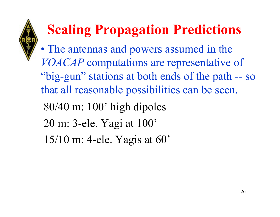- •• The antennas and powers assumed in the *VOACAP* computations are representative of "big-gun" stations at both ends of the path -- so that all reasonable possibilities can be seen.
	- 80/40 m: 100' high dipoles
	- 20 m: 3-ele. Yagi at 100'
	- 15/10 m: 4-ele. Yagis at 60'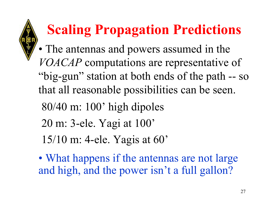- •• The antennas and powers assumed in the *VOACAP* computations are representative of "big-gun" station at both ends of the path -- so that all reasonable possibilities can be seen.
	- 80/40 m: 100' high dipoles
	- 20 m: 3-ele. Yagi at 100'
	- 15/10 m: 4-ele. Yagis at 60'
	- •• What happens if the antennas are not large and high, and the power isn't a full gallon?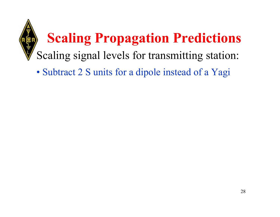# **Scaling Propagation Predictions** Scaling signal levels for transmitting station:

• Subtract 2 S units for a dipole instead of a Yagi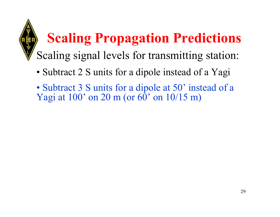- Subtract 2 S units for a dipole instead of a Yagi
- Subtract 3 S units for a dipole at 50' instead of a Yagi at  $100'$  on  $20 \text{ m}$  (or  $60'$  on  $10/15 \text{ m}$ )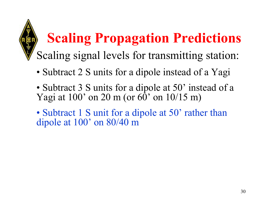- Subtract 2 S units for a dipole instead of a Yagi
- Subtract 3 S units for a dipole at 50' instead of a Yagi at  $100'$  on 20 m (or  $60'$  on  $10/15$  m)
- Subtract 1 S unit for a dipole at 50' rather than dipole at 100' on 80/40 m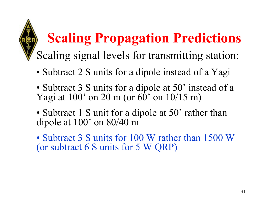- Subtract 2 S units for a dipole instead of a Yagi
- Subtract 3 S units for a dipole at 50' instead of a Yagi at  $100'$  on 20 m (or  $60'$  on  $10/15$  m)
- Subtract 1 S unit for a dipole at 50' rather than dipole at 100' on 80/40 m
- Subtract 3 S units for 100 W rather than 1500 W (or subtract 6 S units for 5 W QRP)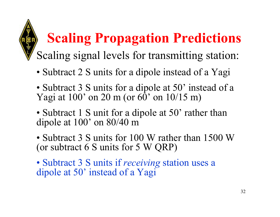- Subtract 2 S units for a dipole instead of a Yagi
- Subtract 3 S units for a dipole at 50' instead of a Yagi at  $100'$  on 20 m (or  $60'$  on  $10/15$  m)
- Subtract 1 S unit for a dipole at 50' rather than dipole at 100' on 80/40 m
- Subtract 3 S units for 100 W rather than 1500 W (or subtract 6 S units for 5 W QRP)
- Subtract 3 S units if *receiving* station uses a dipole at 50' instead of a Yagi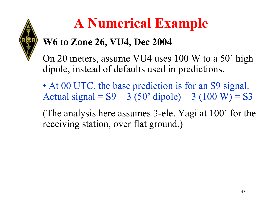

### **A Numerical Example**

### **W6 to Zone 26, VU4, Dec 2004**

On 20 meters, assume VU4 uses 100 W to a 50' high dipole, instead of defaults used in predictions.

• At 00 UTC, the base prediction is for an S9 signal. Actual signal = S9 − 3 (50' dipole) − $-3(100 \text{ W}) = S3$ 

(The analysis here assumes 3-ele. Yagi at 100' for the receiving station, over flat ground.)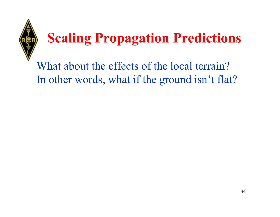

What about the effects of the local terrain? In other words, what if the ground isn't flat?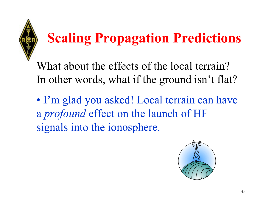

What about the effects of the local terrain? In other words, what if the ground isn't flat?

• I'm glad you asked! Local terrain can have <sup>a</sup>*profound* effect on the launch of HF signals into the ionosphere.

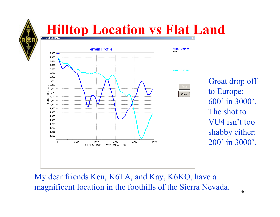

# **Hilltop Location vs Flat Land**



Great drop off to Europe: 600' in 3000'. The shot to VU4 isn't too shabby either: 200' in 3000'.

Print

Close

My dear friends Ken, K6TA, and Kay, K6KO, have a magnificent location in the foothills of the Sierra Nevada.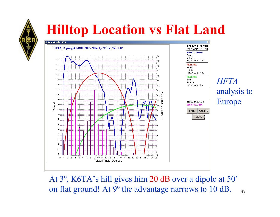

### **Hilltop Location vs Flat Land**



At 3º, K6TA's hill gives him 20 dB over a dipole at 50' on flat ground! At 9º the advantage narrows to 10 dB.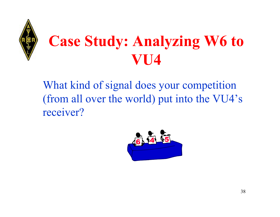

# **Case Study: Analyzing W6 to TI4**

What kind of signal does your competition (from all over the world) put into the VU4's receiver?

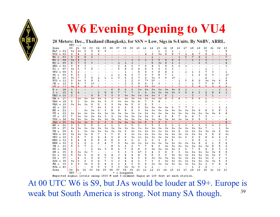### **W6 Evening Opening to VU4**

#### 20 Meters: Dec., Thailand (Bangkok), for SSN = Low, Sigs in S-Units. By N6BV, ARRL.

|                                                                                      | n.c                      | $-- >$                   |      |                |                |                          |              |      |            |      |      |      |      |      |      |                          |                |      |                          |                          |                          |                          |                              |                         |
|--------------------------------------------------------------------------------------|--------------------------|--------------------------|------|----------------|----------------|--------------------------|--------------|------|------------|------|------|------|------|------|------|--------------------------|----------------|------|--------------------------|--------------------------|--------------------------|--------------------------|------------------------------|-------------------------|
| Zone                                                                                 | 00                       | 01                       | 02   | 03             | 04             | 05                       | 06           | 07   | 08         | 09   | 10   | 11   | 12   | 13   | 14   | 15                       | 16             | 17   | 18                       | 19                       | 20                       | 21                       | 22                           | 23                      |
| $KL7 = 01$                                                                           | $9+$                     | $9+$                     | 9    | 9              | 8              | 5                        |              |      |            |      |      |      |      | 1    | 2    | 1                        |                |      |                          |                          | 5                        |                          |                              | 5                       |
| $VO2 = 02$                                                                           | 2                        | 4                        | 2    | 1              | ı              | $\overline{\phantom{a}}$ |              |      |            |      |      | 4    | 9    | $9+$ | 8    | 8                        | 7              | ı    | 4                        | 7                        | 6                        | з                        |                              | 2                       |
| $W6 =$<br>03                                                                         | g.                       | 8                        | 8    | $\overline{2}$ |                |                          |              |      |            |      |      |      | ı    |      |      |                          | $\mathbf{1}$   | 5    | 7                        | 6                        | ı                        |                          |                              | 7                       |
| ₩9 ≡<br>ÛŤ                                                                           | 97                       | ह                        | z    |                |                |                          |              |      |            | I    | 3    | ∓    | 3    | 5    | ষ    | ह                        | z              | Ξ    | I                        | 3                        | 3                        |                          |                              | 6                       |
| $W3 =$<br>05                                                                         | 8                        | 7                        | 5    | 3              |                |                          |              | 2    | 1          | 1    |      |      | 8    | $9+$ | 8    | 6                        | 1              |      |                          | 2                        | 5                        |                          |                              |                         |
| $XE1 = 06$                                                                           | 9.                       | 8                        | 3    |                |                |                          |              | 2    | 4          | 6    | 7    | 6    | 4    | 5    | 8    | 6                        | 1              | 1    |                          |                          |                          |                          |                              | 3                       |
| $TI =$<br>07                                                                         | $9+$                     | 9                        | 7    | 5              |                |                          |              | 5    | 8          | 9    | 8    | 8    | 9    | 9    | 6    | 3                        |                |      |                          |                          | 1                        |                          |                              |                         |
| $VP2 =$<br>08                                                                        | 5                        |                          |      |                |                |                          |              |      | 1          |      | 8    | 9    | 9    | 8    | 8    | 2                        |                | 1    | 1                        | 3                        | 7                        | з                        |                              | 1                       |
| $P4 =$<br>09                                                                         | 8                        | 6                        | 1    |                |                |                          | 1            | 1    | 4          | 2    | 7    | 9    | 9    | 8    |      | 1                        |                |      | ı                        | 2                        | 6                        | з                        |                              | 1*                      |
| $HC =$<br>10                                                                         | $9+$                     |                          | 7    | 5              | 1              | 1                        | $\mathbf{1}$ | 5    | 5          | 6    | 7    | 9    | 9+   | ۰    |      | $1*$                     |                |      |                          |                          | 2                        |                          |                              |                         |
| $PY1 =$<br>11                                                                        | 9                        | $9+$                     | 9    | 9              | 1              |                          |              |      | 1          | 2    | ٥    | 7*   | 2*   |      |      |                          | 1              | 5    | 8                        | Q                        | $9+$                     | $9+$                     | a                            |                         |
| $CE =$<br>12                                                                         | 9                        | 8                        | 7    | $2*$           |                |                          |              |      |            | 9    | 8    | 8    | 5    | 5    |      |                          | 1              |      | ı                        | 7                        | 7                        | 8                        | 7                            | 9                       |
| $\overline{\text{III}}$ =<br>13                                                      | $9+$                     | a                        | 8    |                |                |                          |              |      |            |      | ٥    | 5*   | 5*   |      |      | п                        |                |      | с                        | я                        | 7                        | a                        | û                            | a                       |
| $G =$<br>14                                                                          | ı                        | $\overline{\phantom{a}}$ |      |                |                | $\overline{\phantom{0}}$ | 6            | 8    | 9          | 9    | $9+$ | $9+$ | $9+$ | $9+$ | $9+$ | $9+$                     | 8              | ı    | $\overline{\phantom{a}}$ |                          | $\overline{\phantom{a}}$ | $\overline{\phantom{a}}$ | ı                            | 1                       |
| 15<br>$I =$                                                                          | 4                        | 4                        |      |                | 2              | 8                        | 8            | 7    | 7          | 7    | g.   | 9    | 9+   | $9+$ | $9+$ | 9+                       | 9              | 8    | 4                        | 2                        | 2                        | 8                        | 4                            | 1                       |
| $U A3 = 16$                                                                          | $\overline{2}$           |                          |      | 8              | 8              | 9                        | g            | 9    | $9+$       | $9+$ | $9+$ | $9+$ | $9+$ | 9    | 8    | $\mathbf 1$              | $\overline{a}$ |      | $\overline{2}$           |                          | 5                        | ı                        |                              |                         |
| ∪™ ≡<br>17                                                                           | Ξ                        | 97                       | 97   | 97             | 97             | т                        | ŷ            | 9    | 9Ŧ         | 97   | 97   | प्रा | 97   | 97   | 8    | 5                        | ष्ठ            |      | 5                        | ь                        | I                        |                          |                              |                         |
| UA9<br>18<br>$\equiv$                                                                | 5                        | 3                        | 9+   | 9+             | 9+             | 9                        | 9            | 9+   | 9+         | 9+   | 4    | 7    | 9    | 4    |      |                          |                |      |                          |                          | ı                        |                          |                              |                         |
| UA0<br>19<br>$=$                                                                     | $9+$                     | $9+$                     | $9+$ | 9              | 9              | 9                        | ٥            | 9+   | $9+$       | 5    | 6    | 9    | 5    |      |      |                          |                |      |                          |                          |                          |                          |                              |                         |
| $4X =$<br>20                                                                         | -                        |                          | ٠    | 7              | $9+$           | 9                        | 9            | 6    | 6          | 8    | 9    | $9+$ | $9+$ | $9+$ | $9+$ | 9                        | 7              | 7    | 3                        |                          |                          |                          |                              |                         |
| 21<br>$HZ =$                                                                         | -                        |                          | $9+$ | $9+$           | 9              | 9                        | 8            | 8    | 8          | 8    | 9    | $9+$ | $9+$ | 9+   | 9+   | 9+                       | $9+$           | $9+$ | $9+$                     | 9                        | 8                        | 9                        | 8                            |                         |
| $VU =$<br>22                                                                         | 9+                       | $9+$                     | 9+   | 9+             | 9+             | 9+                       | $9+$         | 9+   | $9+$       | 9+   | $9+$ | 9+   | 9+   | $9+$ | 9+   | 9+                       | 9+             | 9+   | 9+                       | $9+$                     | $9+$                     | $9+$                     |                              | 8                       |
| $JT =$<br>23                                                                         | 7                        | 9+                       | $9+$ | 9+             | 9+             | 9                        | 9            | 9+   | 9+         | 9+   | 9+   | 9+   | 9    | 4    | g.   | 8                        | 7              | 4    | 4                        | 7                        | 5                        |                          |                              |                         |
| $VSS =$<br>24                                                                        | $9+$                     | $9+$                     | 9+   | 9+             | 9+             | 9+                       | $9+$         | $9+$ | $9+$       | 9+   | 9+   | 9+   | 9+   | $9+$ | 9+   | 9+                       | $9+$           | 9+   | 9                        | 9                        | 5                        |                          |                              |                         |
| $JAI = 25$                                                                           | $9+$                     | $9+$                     | $9+$ | 9              | 9              | 9                        | 9            | $9+$ | $9+$       | $9+$ | $9+$ | 5    | 9    | 9    | 3    | $\overline{\phantom{a}}$ | ۰.             | ۰.   | ٠                        | $\overline{\phantom{a}}$ | $\overline{\phantom{a}}$ | $\overline{\phantom{a}}$ | $\qquad \qquad \blacksquare$ | $\overline{\mathbf{8}}$ |
| $_{\rm HS}$ =<br>26                                                                  | 2                        | 2                        | 5.   | 5              | 2              | 1                        | 1            | 2    | 3          | 5    | 5    | 3    | 5    | з    | 2    | 2                        | 2              | 3.   | 3.                       | 3.                       | з                        | 3                        | 3                            | 2                       |
| $DU =$<br>27                                                                         | 9+                       | $9+$                     | $9+$ | 9+             | 9+             | $9+$                     | $9+$         | $9+$ | $9+$       | 9+   | $9+$ | 9+   | $9+$ | $9+$ | 9+   | 9+                       | $9+$           | 9+   | 9+                       | 9+                       | 7                        | ۰                        | 1                            | 9+                      |
| $YB =$<br>28                                                                         | 4                        | 9                        | 9+   | 9+             | 9+             | $9+$                     | 9+           | $9+$ | Q          | $9+$ | $9+$ | 9+   | 9+   | $9+$ | 9+   | 9+                       | 8              | 9+   | 9+                       | 9+                       | $9+$                     | $9+$                     | g                            | 9+                      |
| $VK6 =$<br>29                                                                        | $9+$                     | $9+$                     | $9+$ | 8              | 7              | з                        | 7            | 8    | 9          | $9+$ | $9+$ | $9+$ | 9+   | $9+$ | 9+   | $9+$                     | $9+$           | $9+$ | 9+                       | $9+$                     | 9                        | 8                        | 8                            | 9+                      |
| $VK3 =$<br>30                                                                        | ۰                        | 8                        | 7    | 6              | 4              | 4                        | 5            | 8    | ٥          | $9+$ | $9+$ | $9+$ | 9+   | $9+$ | 9+   | 9+                       | 9+             | 9    | 9                        | 9                        | 8                        | 6                        |                              |                         |
| $KH6 =$<br>31                                                                        | 5                        | 4                        | 4    | 5              | 5              | 6                        | 8            | 9    | a          | ۰    | ۰    | 9    | ٥    | ū    | 8    | 5                        |                |      | 9                        | 8                        | ı                        |                          | з                            |                         |
| KH8<br>32<br>$=$                                                                     | 2                        | 1                        | 2    | 1              | $\overline{2}$ | 4                        | 7            | 9    | $9+$       | $9+$ | $9+$ | $9+$ | $9+$ | $9+$ | 9+   | 9+                       | $9+$           | 9+   | 9+                       | 8                        | 2                        | ı                        | 5                            |                         |
| $CN =$<br>33                                                                         | 5                        | g                        | 7    | ı              |                |                          | 8            | 6    | 6          | 9    | 7    | 7    | 8    | 9    | $9+$ | 9+                       | $9+$           | $9+$ | $9+$                     | 9+                       | $9+$                     | 8                        | 5                            | 2                       |
| $SU =$<br>34                                                                         | -                        |                          |      | 2              | $9+$           | 9                        | 8            | 6    | 7          | 8    | 8    | 9    | $9+$ | 9+   | 9+   | 9+                       | 9              | 9    | 7                        | 5                        | 2                        | 2                        | 3                            |                         |
| 35<br>6W =                                                                           | 8                        | 9+                       | $9+$ | 7              |                |                          |              | 5    | 3          | 9    | 4*   | 3    | 4    | 5    | 8    | g                        | ٥              | 9+   | 9+                       | 9+                       | $9+$                     | $9+$                     | 8                            |                         |
| $D2 =$<br>36                                                                         | 5                        | $9+$                     | 9    | 4              | 9              | 6                        | 4            | 3    | 4          | 4    | 4    | 5    | 8    | G    | g    | 9+                       | $9+$           | 9+   | 9+                       | 9+                       | 9+                       | $9+$                     | ū                            |                         |
| $5Z =$<br>37                                                                         | $\overline{\phantom{0}}$ | 4                        | 6    | 9              | 8              | 7                        | 5            | 4    | 4          | 4    | 5    | 8    | $9+$ | $9+$ | 9+   | 9+                       | $9+$           | 9+   | 9+                       | 9+                       | 9+                       | 9                        |                              |                         |
| ZS 6<br>38<br>$=$                                                                    | 9+                       | 9                        | 9    | 9              | 8              | 7                        | 5            | 3    | 4          | 4    | 5    | 7    | 9    | 9    | 9+   | 9+                       | 9+             | 9+   | 9+                       | 9+                       | 9+                       | $9+$                     | 9                            | ū                       |
| $FR =$<br>39                                                                         | 9                        | a                        | $9+$ | 9              | 8              | 4                        | 2            | 2    | 4          | 5    | 8    | 9    | 9+   | 9+   | 9+   | 9+                       | 9+             | 9+   | 9+                       | 9+                       | 9                        | 9                        |                              |                         |
| $FJL = 40$                                                                           |                          |                          |      | 6              | 9              | 9                        | 9            | Q    | $9+$       | $9+$ | 9    | 1    | ı    |      |      |                          |                |      | 1                        | 2                        | 2                        |                          |                              |                         |
| Zone                                                                                 | 00                       | D1                       | 02   | 03             | 04             | 05                       | 06           | 07   | 08         | 09   | 10   | 11   | 12   | 13   | 14   | 15                       | 16             | 17   | 18                       | 19                       | 20                       | 21                       | 22                           | 23                      |
|                                                                                      | UTC                      | '- - >                   |      |                |                |                          |              |      | = Longpath |      |      |      |      |      |      |                          |                |      |                          |                          |                          |                          |                              |                         |
| Rynacted girmal levels using 1500 W and 3-alement Vagis at 100 feet at each station. |                          |                          |      |                |                |                          |              |      |            |      |      |      |      |      |      |                          |                |      |                          |                          |                          |                          |                              |                         |

39At 00 UTC W6 is S9, but JAs would be louder at S9+. Europe is weak but South America is strong. Not many SA though.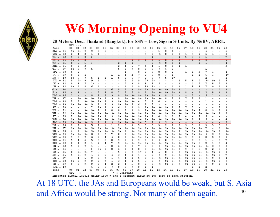### **W6 Morning Opening to VU4**

#### 20 Meters: Dec., Thailand (Bangkok), for SSN = Low, Sigs in S-Units. By N6BV, ARRL.

|                                                                                      | n.c            | $-2$      |      |                |      |                          |      |      |            |           |      |      |         |                |      |                          |                          |                          |                          |                          |                          |                          |                          |      |
|--------------------------------------------------------------------------------------|----------------|-----------|------|----------------|------|--------------------------|------|------|------------|-----------|------|------|---------|----------------|------|--------------------------|--------------------------|--------------------------|--------------------------|--------------------------|--------------------------|--------------------------|--------------------------|------|
| Zone                                                                                 | 00             | 01        | 02   | 03             | 04   | 05                       | 06   | 07   | 08         | 09        | 10   | 11   | 12      | 13             | 14   | 15                       | 16                       | 17                       | 18                       | 19                       | 20                       | 21                       | 22                       | 23   |
| $KL7 = 01$                                                                           | $9+$           | $9+$      | 9    | 9              | 8    | 5                        |      |      |            |           |      |      |         | 1              | 2    | $\mathbf 1$              | $\overline{\phantom{a}}$ | $\overline{\phantom{a}}$ | $\overline{\phantom{a}}$ | $\overline{\phantom{a}}$ | 5                        |                          |                          | 5    |
| $VO2 =$<br>02                                                                        | 2              | 4         | 2    | ı              | 1    | $\overline{\phantom{a}}$ |      |      |            |           |      | 4    | 9       | $9+$           | 8    | 8                        | 7                        | ı                        | 4                        | 7                        | 6                        | з                        |                          | 2    |
| $W6 =$<br>03                                                                         | o              | 8         | 8    | $\overline{a}$ |      |                          |      |      |            |           |      |      | ı       |                |      |                          | $\mathbf{1}$             | 5.                       | 7                        | 6                        | ı                        |                          |                          | 7    |
| ₩\$ਾ≡<br>ÛŤ                                                                          | 97             | 8         | z    | -              |      |                          |      |      | -          | I         | 3    | t    | з       | 5              | ह    | है                       | z                        | Ξ                        | t                        | 3                        | 3                        |                          |                          | 亏    |
| $W3 =$<br>05                                                                         | 8              | 7         | 5    | 3              |      |                          |      | 2    | 1          | 1         |      |      | 8       | $9+$           | 8    | 6                        | 1                        |                          |                          | 2                        | 5                        |                          |                          |      |
| $XE1 = 06$                                                                           | 9              | 8         | 3    |                |      |                          |      | 2    | 4          | 6         | 7    | 6    | 4       | 5              | 8    | 6                        | 1                        | 1                        | $\overline{\phantom{a}}$ |                          |                          |                          |                          | 3    |
| TI =<br>07                                                                           | $9+$           | a         | 7    | 5              |      |                          |      | 5    | 8          | 9         | 8    | 8    | 9       | 9              | 6    | 3                        | ٠                        |                          | $\overline{\phantom{a}}$ |                          | ı                        |                          |                          |      |
| $VP2 =$<br>08                                                                        | 5              |           |      |                |      |                          |      |      | 1          |           | 8    | 9    | 9       | 8              | 8    | 2                        |                          | ı                        | ı                        | 3                        | 7                        | з                        |                          | 1    |
| $P4 =$<br>09                                                                         | 8              |           | 1    |                |      |                          | 1    | 1    | 4          | 2         | 7    | 9    | 9       | 8              |      | 1                        |                          |                          | ı                        | 2                        | 6                        | з                        |                          | $1*$ |
| $HC =$<br>10                                                                         | $9+$           | 7         | 7    | 5              | 1    | 1                        | 1    | 5    | 5          | 6         | 7    | 9    | $9+$    | 9              |      | $1*$                     |                          |                          | -                        |                          | 2                        |                          |                          |      |
| $PY1 =$<br>11                                                                        | 9              | 9+        | ۰    | Q              | 1    |                          |      |      | 1          | 2         | ۰    | $7*$ | 2*      |                |      |                          | 1                        | 5                        | 8                        | 9                        | $9+$                     | $9+$                     |                          |      |
| $CE =$<br>12                                                                         | 9              | 8         | 7    | $2*$           |      |                          |      |      | 2          | 9         | 8    | 8    | 5       | 5              |      |                          | 1                        |                          | 1                        | 7                        | 7                        | 8                        | 7                        |      |
| $\overline{\text{III}}$ =<br>13                                                      | $9+$           | a         | 8    | 6              |      |                          |      |      |            | 2         | ٥    | 5*   | 5*      |                |      | п                        | ۹                        | п                        | 5                        | R                        | 7                        | a                        | a                        | a    |
| G =<br>14                                                                            | ı              |           |      |                |      | $\overline{\phantom{a}}$ | 6    | 8    | 9          | 9         | $9+$ | $9+$ | 9+      | 9+             | $9+$ | $9+$                     | 8                        | ı                        | $\overline{\phantom{a}}$ | $\overline{\phantom{a}}$ | -                        | $\overline{\phantom{a}}$ | ı                        | ı    |
| 15<br>$I =$                                                                          | 4              | 4         |      |                | 2    | 8                        | 8    | 7    | 7          | 7         | g.   | 9    | 9+      | $9+$           | $9+$ | $9+$                     | 9                        | 8                        | 4                        | 2                        | 2                        | 8                        | 4                        | 1    |
| $U A3 = 16$                                                                          | $\overline{2}$ |           | ٠    | 8              | 8    | 9                        | o    | 9    | $9+$       | $9+$      | $9+$ | $9+$ | $9+$    | Q              | 8    | $\mathbf{1}$             | $\overline{\phantom{0}}$ |                          | 2                        |                          | 5                        | ı                        |                          |      |
| $UN =$<br>17                                                                         | Ξ              | प्रक      | प्रक | 97             | 97   | 9                        | т    | ŷ.   | 9Ŧ         | 97        | 97   | प्रा | 97      | 97             | ष्ठ  | 5                        | ष्ठ                      |                          | 5                        | ь                        | r                        |                          |                          |      |
| UA9<br>18<br>$\equiv$                                                                | 5              | 3         | 9+   | 9+             | 9+   | 9                        | 9    | 9+   | $9+$       | 9+        | 4    | 7    | 9       | 4              |      |                          |                          |                          | $\overline{\phantom{a}}$ |                          | ı                        |                          |                          |      |
| $U A0 =$<br>19                                                                       | $9+$           | $9+$      | $9+$ | 9              | 9    | 9                        | ۰    | $9+$ | $9+$       | 5         | 6    | 9    | 5       |                |      |                          |                          |                          |                          |                          |                          |                          |                          |      |
| $4X =$<br>20                                                                         |                |           | ٠    | 7              | $9+$ | 9                        | 9    | 6    | 6          | 8         | 9    | $9+$ | $9+$    | $9+$           | $9+$ | 9                        | 7                        | 7                        | з                        |                          |                          |                          |                          | 1    |
| $HZ =$<br>21                                                                         | -              |           | $9+$ | $9+$           | 9    | 9                        | 8    | 8    | 8          | 8         | 9    | 9+   | $9+$    | $9+$           | $9+$ | $9+$                     | $9+$                     | $9+$                     | 9+                       | 9                        | 8                        | 9                        | 8                        |      |
| 22<br>VU =                                                                           | 9+             | $9+$      | $9+$ | $9+$           | $9+$ | 9+                       | $9+$ | $9+$ | $9+$       | 9+        | 9+   | 9+   | 9+      | $9+$           | 9+   | $9+$                     | $9+$                     | $9+$                     | 9+                       | 9+                       | $9+$                     | $9+$                     |                          |      |
| $JT =$<br>23                                                                         | 7.             | 9+        | $9+$ | 9+             | 9+   | 9                        | 9    | 9+   | 9+         | 9+        | $9+$ | 9+   | 9       | 4              | Q    | 8                        | 7                        | 4                        | 4                        | 7                        | 5                        |                          |                          |      |
| $VSS =$<br>-24                                                                       | $9+$           | $9+$      | 9+   | 9+             | 9+   | 9+                       | $9+$ | 9+   | 9+         | 9+        | $9+$ | 9+   | 9+      | 9+             | 9+   | 9+                       | $9+$                     | $9+$                     | 9                        | 9                        | 5                        |                          |                          |      |
| $JAI = 25$                                                                           | $9+$           | $9+$      | $9+$ | 9              | 9    | 9                        | 9    | $9+$ | $9+$       | $9+$      | $9+$ | 5    | 9       | $\overline{9}$ | 3    | $\overline{\phantom{a}}$ | $\overline{\phantom{a}}$ | $\overline{\phantom{a}}$ | $\overline{\phantom{a}}$ | $\overline{\phantom{a}}$ | $\overline{\phantom{a}}$ | $\overline{\phantom{a}}$ | $\overline{\phantom{a}}$ | 8    |
| $_{\rm HS}$ =<br>26                                                                  | 2              | 2         | 5    | 5              | 2    | 1                        | 1    | 2    | 3.         | 5         | 5    | 3    | 5       | з              | 2    | 2                        | 2                        | 3                        | 3                        | 3                        | з.                       | з                        | 3                        | 2    |
| 27<br>$DU =$                                                                         | $9+$           | $9+$      | $9+$ | 9+             | 9+   | $9+$                     | $9+$ | 9+   | $9+$       | 9+        | $9+$ | 9+   | $9+$    | $9+$           | 9+   | $9+$                     | $9+$                     | $9+$                     | 9+                       | 9+                       | 7                        |                          | 1                        | 9+   |
| $YB =$<br>28                                                                         | 4              | ۰         | 9+   | $9+$           | 9+   | $9+$                     | $9+$ | $9+$ | Q          | $9+$      | 9+   | 9+   | 9+      | $9+$           | $9+$ | 9+                       | 8                        | $9+$                     | 9+                       | 9+                       | $9+$                     | $9+$                     | Q                        | 9+   |
| $VK6 =$<br>29                                                                        | $9+$           | $9+$      | $9+$ | 8              | 7    | з                        | 7    | 8    | 9          | $9+$      | $9+$ | $9+$ | 9+      | $9+$           | $9+$ | $9+$                     | $9+$                     | $9 + 1$                  | $9+$                     | 9+                       | 9                        | 8                        |                          | 9+   |
| $VK3 =$<br>30                                                                        | 9              | 8         | 7    | 6              | 4    | 4                        | 5    | 8    | g          | $9+$      | $9+$ | $9+$ | 9+      | $9+$           | $9+$ | $9+$                     | $9+$                     | 9                        | 9                        | 9                        | 8                        | 6                        |                          | a    |
| $KH6 =$<br>-31                                                                       | 5              | 4         | 4    | 5              | 5    | 6                        | 8    | 9    | a          | a         | ۰    | Q    | ٥       | ٥              | 8    | 5.                       |                          |                          | 9                        | 8                        | ı                        |                          | з                        |      |
| KH 8<br>$\equiv$<br>32                                                               | 2              | 1         | 2    | 1              | 2    | 4                        | 7    | g    | $9+$       | $9+$      | $9+$ | $9+$ | $9+$    | $9+$           | 9+   | $9+$                     | $9+$                     | $9+$                     | 9+                       | 8                        | 2                        | ı                        | 5                        |      |
| $CN =$<br>33                                                                         | 5              | a         | 7    | ı              |      |                          | 8    | 6    | 6          | 9         | 7    | 7    | 8       | 9              | $9+$ | $9+$                     | $9+$                     | $9+$                     | 9+                       | 9+                       | $9+$                     | 8                        | 5                        | 2    |
| SU =<br>34                                                                           |                |           |      | 2              | $9+$ | 9                        | 8    | 6    | 7          | 8         | 8    | 9    | 9+      | $9+$           | $9+$ | 9+                       | 9                        | 9                        | 7                        | 5                        | 2                        | 2                        | 3                        |      |
| 6W =<br>35                                                                           | 8              | $9+$      | $9+$ | 7              |      |                          |      | 5    | з          | ٥         | 4*   | 3    | 4       | 5              | 8    | 9                        | o                        | $9+$                     | 9+                       | 9+                       | $9+$                     | $9+$                     | 8                        |      |
| $D2 =$<br>36                                                                         | 5              | $9+$      | 9    | 4              | Q    | 6                        | 4    | 3    | 4          | 4         | 4    | 5    | 8       | Q              | a    | $9+$                     | $9+$                     | 9+                       | 9+                       | 9+                       | 9+                       | $9+$                     | ٥                        |      |
| $5Z =$<br>37                                                                         | ۰              | 4         | 6    | 9              | 8    | 7                        | 5    | 4    | 4          | 4         | 5    | 8    | $9+$    | $9+$           | 9+   | $9+$                     | $9+$                     | $9+$                     | 9+                       | 9+                       | 9+                       | 9                        |                          |      |
| $2S6 =$<br>38                                                                        | $9+$           | a         | 9    | 9              | 8    | 7                        | 5    | 3    | 4          | 4         | 5    | 7    | 9       | 9              | 9+   | 9+                       | 9+                       | $9+$                     | 9+                       | 9+                       | 9+                       | $9+$                     | Q                        |      |
|                                                                                      | 9              | ٥         | $9+$ | 9              | 8    |                          | 2    | 2    |            |           | 8    | 9    | $9+$    |                |      |                          |                          |                          |                          |                          | 9                        |                          |                          |      |
| $FR =$<br>39<br>$FJL = 40$                                                           |                |           |      |                | 9    | 4<br>9                   | 9    | Q    | 4<br>$9+$  | 5<br>$9+$ | 9    | 1    |         | 9+             | $9+$ | $9+$                     | 9+                       | $9 + 1$                  | $9+$                     | $9+$<br>2                |                          | 9                        |                          |      |
|                                                                                      |                |           | 02   | 6              |      | 05                       | 06   | 07   |            |           | 10   | 11   | 1<br>12 |                |      | 15                       | 16                       | 17                       | ı<br>18                  | 19                       | 2<br>20                  | 21                       | 22                       | 23   |
| Zone                                                                                 | 00             | 01        |      | 03             | 04   |                          |      |      | 08         | 09        |      |      |         | 13             | 14   |                          |                          |                          |                          |                          |                          |                          |                          |      |
| Rynacted sigmal levels using 1500 W and 3-alement Vagis at 100 feet at each station. |                | $UTC - >$ |      |                |      |                          |      |      | = Longpath |           |      |      |         |                |      |                          |                          |                          |                          |                          |                          |                          |                          |      |
|                                                                                      |                |           |      |                |      |                          |      |      |            |           |      |      |         |                |      |                          |                          |                          |                          |                          |                          |                          |                          |      |

40At 18 UTC, the JAs and Europeans would be weak, but S. Asia and Africa would be strong. Not many of them again.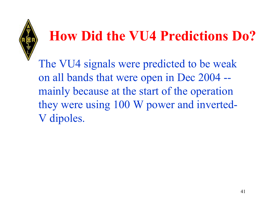### **How Did the VU4 Predictions Do?**

The VU4 signals were predicted to be weak on all bands that were open in Dec 2004 - mainly because at the start of the operation they were using 100 W power and inverted-V dipoles.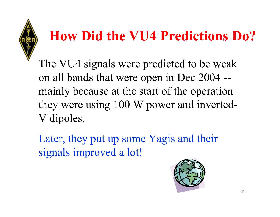# **How Did the VU4 Predictions Do?**

The VU4 signals were predicted to be weak on all bands that were open in Dec 2004 - mainly because at the start of the operation they were using 100 W power and inverted-V dipoles.

Later, they put up some Yagis and their signals improved a lot!

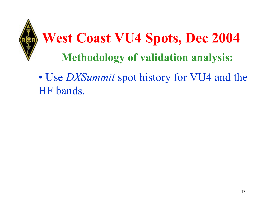

### • U s e *DXSummit* spot history for VU4 and the HF bands.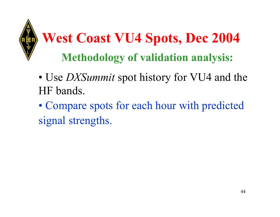

# **West Coast VU4 Spots, Dec 2004 Methodology of validation analysis:**

- U s e *DXSummit* spot history for VU4 and the HF bands.
- Compare spots for each hour with predicted signal strengths.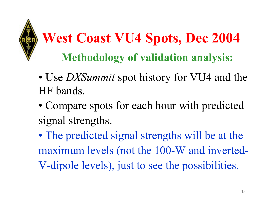

# **West Coast VU4 Spots, Dec 2004 Methodology of validation analysis:**

- U s e *DXSummit* spot history for VU4 and the HF bands.
- Compare spots for each hour with predicted signal strengths.
- •• The predicted signal strengths will be at the maximum levels (not the 100-W and inverted-V-dipole levels), just to see the possibilities.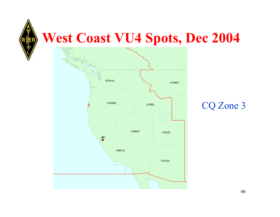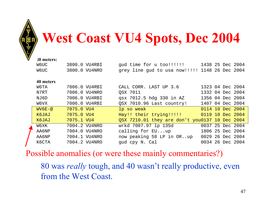

### **West Coast VU4 Spots, Dec 2004**

| 30 meters:  |               |                                                 |                  |  |                  |
|-------------|---------------|-------------------------------------------------|------------------|--|------------------|
| W6UC        | 3800.0 VU4RBI | gud time for u too!!!!!! 1438 25 Dec 2004       |                  |  |                  |
| <b>W6UC</b> | 3800.0 VU4NRO | grey line gud to usa now!!!!!! 1148 26 Dec 2004 |                  |  |                  |
|             |               |                                                 |                  |  |                  |
| 40 meters   |               |                                                 |                  |  |                  |
| W6TA        | 7006.0 VU4RBI | CALL CORR. LAST UP 3.6                          | 1323 04 Dec 2004 |  |                  |
| N7RT        | 7006.0 VU4NRO | OSX 7011                                        | 1332 04 Dec 2004 |  |                  |
| NJ6D        | 7006.0 VU4RBI | qsx 7012.5 hdg 330 in AZ                        | 1356 04 Dec 2004 |  |                  |
| W6VX        | 7006.0 VU4RBI | QSX 7010.96 Last country!                       | 1407 04 Dec 2004 |  |                  |
| $WV6E-@$    | 7075.0 VU4    | lp so weak                                      |                  |  | 0114 10 Dec 2004 |
| K6JAJ       | 7075.0 VU4    | Hay!! their trying!!!!! 0119 10 Dec 2004        |                  |  |                  |
| K6JAJ       | 7075.1 VU4    | QSX 7210.01 they are don't you0137 10 Dec 2004  |                  |  |                  |
| W6XK        | 7004.2 VU4NRO | wrkd 7007.97 lp 135d                            | 0037 25 Dec 2004 |  |                  |
| AA6NP       | 7004.0 VU4NRO | calling for EUup                                | 1806 25 Dec 2004 |  |                  |
| AA6NP       | 7004.1 VU4NRO | now peaking 58 LP in ORup                       | 0029 26 Dec 2004 |  |                  |
| K6CTA       | 7004.2 VU4NRO | gud cpy N. Cal                                  |                  |  | 0034 26 Dec 2004 |
|             |               |                                                 |                  |  |                  |

Possible anomalies (or were these mainly commentaries?)

80 was *really* tough, and 40 wasn't really productive, even from the West Coast.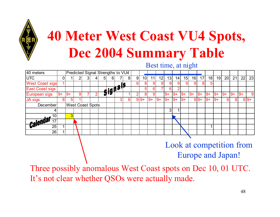

# **40 Meter West Coast VU4 Spots, Dec 2004 Summary Table**

Best time, at night

| 40 meters              |      |      |                          |                                             | Predicted Signal Strengths to VU4 |   |                |   |   |                 |      |                 |                 |      |                 |      |      |                 |      |      |      |       |       |
|------------------------|------|------|--------------------------|---------------------------------------------|-----------------------------------|---|----------------|---|---|-----------------|------|-----------------|-----------------|------|-----------------|------|------|-----------------|------|------|------|-------|-------|
| <b>UTC</b>             | 0    |      |                          |                                             | 5                                 | 6 |                | 8 | 9 | 10 <sup>1</sup> | 11   | 12 <sub>1</sub> | 13 <sub>l</sub> | 14   | 15 <sub>l</sub> | 16   | 17   | 18              | 19   | 20   | 21   | 22    | 23    |
| <b>West Coast sigs</b> |      |      |                          |                                             |                                   |   |                |   | 6 | 8               | 9    |                 | 9               | 9    | 9               | 9    | 8    | $5\phantom{.0}$ |      |      |      |       |       |
| East Coast sigs        |      |      |                          |                                             | <del>gignam</del>                 |   |                |   |   | 5               | 6    |                 | 6               |      |                 |      |      |                 |      |      |      |       |       |
| European sigs          | $9+$ | $9+$ |                          | 2                                           |                                   |   |                |   |   | 8 <sup>1</sup>  | 9    |                 | $9+$            | $9+$ | $9+$            | $9+$ | $9+$ | $9+$            | $9+$ | $9+$ | $9+$ | $ 9+$ | 9     |
| JA sigs                | 8    | 5    |                          |                                             |                                   |   | 3 <sup>1</sup> | 6 |   |                 | $9+$ | $9+$            | $9+$            | $9+$ | $9+$            |      |      | $9+$            | $9+$ | 6    | 8    |       | $69+$ |
| December               |      |      |                          | $9 9+$<br>$9 9+$<br><b>West Coast Spots</b> |                                   |   |                |   |   |                 |      |                 |                 |      |                 |      |      |                 |      |      |      |       |       |
|                        |      |      |                          |                                             |                                   |   |                |   |   |                 |      |                 | 3 <sub>l</sub>  |      |                 |      |      |                 |      |      |      |       |       |
| 10                     |      | 3    |                          |                                             |                                   |   |                |   |   |                 |      |                 |                 |      |                 |      |      |                 |      |      |      |       |       |
|                        |      |      |                          |                                             |                                   |   |                |   |   |                 |      |                 |                 |      |                 |      |      |                 |      |      |      |       |       |
| <b>Calendar</b>        |      |      |                          |                                             |                                   |   |                |   |   |                 |      |                 |                 |      |                 |      |      |                 |      |      |      |       |       |
| 26                     |      |      |                          |                                             |                                   |   |                |   |   |                 |      |                 |                 |      |                 |      |      |                 |      |      |      |       |       |
|                        |      |      | Look at compatition from |                                             |                                   |   |                |   |   |                 |      |                 |                 |      |                 |      |      |                 |      |      |      |       |       |

### Look at competition from Europe and Japan!

Three possibly anomalous West Coast spots on Dec 10, 01 UTC. It's not clear whether QSOs were actually made.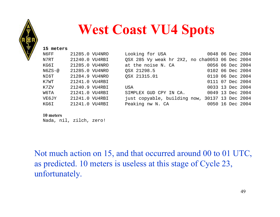

### **West Coast VU4 Spots**

| 15 meters     |                |                                                |                  |  |  |
|---------------|----------------|------------------------------------------------|------------------|--|--|
| N6FF          | 21285.0 VU4NRO | Looking for USA                                | 0048 06 Dec 2004 |  |  |
| N7RT          | 21240.0 VU4RBI | QSX 285 Vy weak hr 2X2, no cha0053 06 Dec 2004 |                  |  |  |
| KG6I          | 21285.0 VU4NRO | at the noise N. CA                             | 0056 06 Dec 2004 |  |  |
| $N6ZS-\omega$ | 21285.0 VU4NRO | OSX 21298.5                                    | 0102 06 Dec 2004 |  |  |
| NI6T          | 21284.9 VU4NRO | OSX 21315.01                                   | 0110 06 Dec 2004 |  |  |
| K7WT          | 21241.0 VU4RBI |                                                | 0111 07 Dec 2004 |  |  |
| K7ZV          | 21240.9 VU4RBI | USA                                            | 0033 13 Dec 2004 |  |  |
| W6TA          | 21241.0 VU4RBI | SIMPLEX GUD CPY IN CA.                         | 0049 13 Dec 2004 |  |  |
| <b>VE6JY</b>  | 21241.0 VU4RBI | just copyable, building now, 30137 13 Dec 2004 |                  |  |  |
| KG6I          | 21241.0 VU4RBI | Peaking nw N. CA                               | 0050 16 Dec 2004 |  |  |
|               |                |                                                |                  |  |  |

#### **10 meters**

Nada, nil, zilch, zero!

Not much action on 15, and that occurred around 00 to 01 UTC, as predicted. 10 meters is useless at this stage of Cycle 23, unfortunately.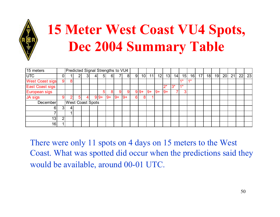

# **15 Meter West Coast VU4 Spots, Dec 2004 Summary Table**

| $\sqrt{15}$ meters     |                | Predicted Signal Strengths to VU4 |   |    |   |                |      |      |                |   |                 |       |       |       |       |      |      |    |    |    |    |    |    |    |
|------------------------|----------------|-----------------------------------|---|----|---|----------------|------|------|----------------|---|-----------------|-------|-------|-------|-------|------|------|----|----|----|----|----|----|----|
| <b>UTC</b>             | 0              |                                   |   | 3  | 4 | 5 <sup>1</sup> | 6    |      | 8 <sup>1</sup> | 9 | 10 <sup>1</sup> | 11    | 12    | 13    | 14    | 15   | 16   | 17 | 18 | 19 | 20 | 21 | 22 | 23 |
| <b>West Coast sigs</b> | $\overline{9}$ | 8                                 |   |    |   |                |      |      |                |   |                 |       |       |       |       | 4 *  | $4*$ |    |    |    |    |    |    |    |
| East Coast sigs        |                |                                   |   |    |   |                |      |      |                |   |                 |       |       | $2^*$ | $3^*$ | $4*$ |      |    |    |    |    |    |    |    |
| European sigs          |                |                                   |   |    |   | 51             | 81   | 9    | 9              |   | $9 9+$          | $ 9+$ | $ 9+$ | $9+$  |       | 3    |      |    |    |    |    |    |    |    |
| JA sigs                | 9              | ◠                                 | 5 | 4∣ |   | $9 - 9 +$      | $9+$ | $9+$ | $9+$           | 6 | O               |       |       |       |       |      |      |    |    |    |    |    |    |    |
| December               |                | <b>West Coast Spots</b>           |   |    |   |                |      |      |                |   |                 |       |       |       |       |      |      |    |    |    |    |    |    |    |
| 61                     | 31             | 4                                 |   |    |   |                |      |      |                |   |                 |       |       |       |       |      |      |    |    |    |    |    |    |    |
|                        |                |                                   |   |    |   |                |      |      |                |   |                 |       |       |       |       |      |      |    |    |    |    |    |    |    |
| 13                     | 2              |                                   |   |    |   |                |      |      |                |   |                 |       |       |       |       |      |      |    |    |    |    |    |    |    |
| 16                     |                |                                   |   |    |   |                |      |      |                |   |                 |       |       |       |       |      |      |    |    |    |    |    |    |    |

There were only 11 spots on 4 days on 15 meters to the West Coast. What was spotted did occur when the predictions said they would be available, around 00-01 UTC.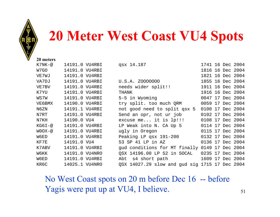

### **20 Meter West Coast VU4 Spots**

**20 meters**

| K7NK-@        | 14191.0 VU4RBI | qsx 14.187                                     | 1741 16 Dec 2004 |  |  |
|---------------|----------------|------------------------------------------------|------------------|--|--|
| W7GO          | 14191.0 VU4RBI |                                                | 1816 16 Dec 2004 |  |  |
| VE7WJ         | 14191.0 VU4RBI |                                                | 1821 16 Dec 2004 |  |  |
| VA7DJ         | 14191.0 VU4RBI | U.S.A. Z0000000                                | 1855 16 Dec 2004 |  |  |
| VE7BV         | 14191.0 VU4RBI | needs wider split!!                            | 1911 16 Dec 2004 |  |  |
| K7YU          | 14191.0 VU4RBI | THANK                                          | 1916 16 Dec 2004 |  |  |
| WS7W          | 14191.0 VU4RBI | 5-5 in Wyoming                                 | 0047 17 Dec 2004 |  |  |
| VE6BMX        | 14190.0 VU4RBI | try split. too much QRM                        | 0059 17 Dec 2004 |  |  |
| N6ZN          | 14191.1 VU4RBI | not good need to split qsx 5                   | 0100 17 Dec 2004 |  |  |
| N7RT          | 14191.0 VU4RBI | Send an opr, not ur job                        | 0102 17 Dec 2004 |  |  |
| N7KH          | 14190.0 VU4    | excuse me it is lp!!!                          | 0108 17 Dec 2004 |  |  |
| KG6I-@        | 14191.0 VU4RBI | LP Weak into N. CA Up 5                        | 0114 17 Dec 2004 |  |  |
| $W0OX-\omega$ | 14191.0 VU4RBI | ugly in Oregon                                 | 0115 17 Dec 2004 |  |  |
| W6ED          | 14191.0 VU4RBI | Peaking LP qsx 191-200                         | 0132 17 Dec 2004 |  |  |
| KF7E          | 14191.0 VU4    | 53 SP 41 LP in AZ                              | 0136 17 Dec 2004 |  |  |
| K7ABV         | 14191.0 VU4RBI | gud conditions for MT finally 0149 17 Dec 2004 |                  |  |  |
| W6KK          | 14191.0 VU4NRO | QSX 14196.00 LP S2 in SOCAL                    | 0235 17 Dec 2004 |  |  |
| W6ED          | 14191.0 VU4RBI | Abt s4 short path                              | 1609 17 Dec 2004 |  |  |
| KR6C          | 14025.1 VU4NRO | QSX 14027.29 slow and gud sig 1715 17 Dec 2004 |                  |  |  |

No West Coast spots on 20 m before Dec 16 -- before Yagis were put up at VU4, I believe.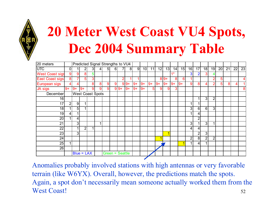

# **20 Meter West Coast VU4 Spots, Dec 2004 Summary Table**

| 20 meters              |                |                | Predicted Signal Strengths to VU4 |   |               |                  |          |                |                |                |                 |      |      |       |      |                  |                |                 |                |                |                |    |    |    |
|------------------------|----------------|----------------|-----------------------------------|---|---------------|------------------|----------|----------------|----------------|----------------|-----------------|------|------|-------|------|------------------|----------------|-----------------|----------------|----------------|----------------|----|----|----|
| <b>UTC</b>             | $\overline{0}$ |                | 2                                 | 3 | $\frac{4}{ }$ | 5 <sub>l</sub>   | $6 \mid$ | 71             | 8 <sup>1</sup> | $\overline{9}$ | 10 <sup>1</sup> | 11   | 12   | 13    | 14   | 15               | 16             | $1\overline{7}$ | 18             | 19             | 20             | 21 | 22 | 23 |
| <b>West Coast sigs</b> | 9              | 9              | 8                                 | 5 |               |                  |          |                |                |                |                 |      |      |       | $4*$ |                  | 3              | 2               | 3 <sub>l</sub> | 4              |                |    |    |    |
| <b>East Coast sigs</b> | 8              | 7              | 5                                 | 3 |               |                  |          | $\overline{2}$ |                |                |                 |      |      | $89+$ | 8    | $6 \overline{6}$ |                |                 |                | 2              | 5              |    |    | 4  |
| European sigs          | $\overline{4}$ | 4              |                                   | 8 | 8             | $\boldsymbol{9}$ | 9        |                | $9 +$          | $9+$           | $9+$            | $9+$ | $9+$ | $9+$  | $9+$ | $9+$             | 9              | 8               | 4              | 2              | 5 <sup>1</sup> | 8  | 4  |    |
| <b>JA sigs</b>         | $9+$           | $9+$           | $9+$                              | 9 | 9             | 9                |          | $9 9+$         | $9+$           | $9+$           | $9+$            | 5    | 9    | 9     | 3    |                  |                |                 |                |                |                |    |    | 8  |
| December               |                |                | <b>West Coast Spots</b>           |   |               |                  |          |                |                |                |                 |      |      |       |      |                  |                |                 |                |                |                |    |    |    |
| 16                     |                |                |                                   |   |               |                  |          |                |                |                |                 |      |      |       |      |                  |                |                 | 3 <sup>1</sup> | $\overline{2}$ |                |    |    |    |
| 17                     | $\overline{2}$ | $9\,$          |                                   |   |               |                  |          |                |                |                |                 |      |      |       |      |                  |                |                 |                |                |                |    |    |    |
| 18                     |                | 5              |                                   |   |               |                  |          |                |                |                |                 |      |      |       |      |                  | $3\vert$       | $6 \mid$        | 6              | 3              |                |    |    |    |
| 19 <sub>1</sub>        | 4 <sup>1</sup> |                |                                   |   |               |                  |          |                |                |                |                 |      |      |       |      |                  |                | 4               |                |                |                |    |    |    |
| 20                     | 1              | 4              |                                   |   |               |                  |          |                |                |                |                 |      |      |       |      |                  |                | $\overline{2}$  |                |                |                |    |    |    |
| 21                     |                | 3              |                                   |   | 4             |                  |          |                |                |                |                 |      |      |       |      |                  | 3 <sup>1</sup> |                 | 3 <sub>l</sub> | 4              |                |    |    |    |
| 22                     |                |                | $\overline{2}$                    | 1 |               |                  |          |                |                |                |                 |      |      |       |      |                  | 4              | 4               |                |                |                |    |    |    |
| 23                     |                | 3 <sup>1</sup> |                                   |   |               |                  |          |                |                |                |                 |      |      | 4     |      |                  |                | 2 <sub>l</sub>  | 3              |                |                |    |    |    |
| 24                     |                |                |                                   |   |               |                  |          |                |                |                |                 |      |      |       |      |                  | 2 <sub>1</sub> | 8 <sup>1</sup>  | $\overline{2}$ | $\overline{2}$ |                |    |    |    |
| 25                     | $\mathbf{1}$   |                |                                   |   |               |                  |          |                |                |                |                 |      |      |       |      |                  |                | $\overline{4}$  |                |                |                |    |    |    |
| 26                     |                |                |                                   |   |               |                  |          |                |                |                |                 |      |      |       |      |                  |                |                 |                |                |                |    |    |    |
|                        |                |                | $Blue = LAX$                      |   |               | Green = Seattle  |          |                |                |                |                 |      |      |       |      |                  |                |                 |                |                |                |    |    |    |

52Anomalies probably involved stations with high antennas or very favorable terrain (like W6YX). Overall, however, the predictions match the spots. Again, a spot don't necessarily mean someone actually worked them from the West Coast!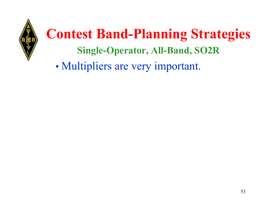

•Multipliers are very important.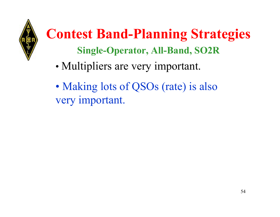

- •Multipliers are very important.
- •• Making lots of QSOs (rate) is also very important.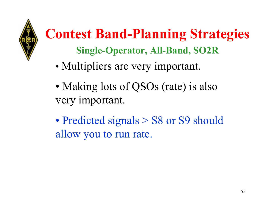

- •Multipliers are very important.
- •• Making lots of QSOs (rate) is also very important.
- •• Predicted signals > S8 or S9 should allow you to run rate.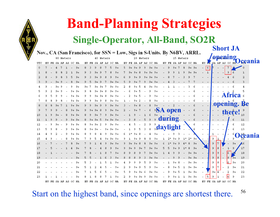

### **Band-Planning Strategies**

### **Single-Operator, All-Band, SO2R**

**Short JA opening**

Nov., CA (San Francisco), for SSN = Low, Sigs in S-Units. By N6BV, ARRL.

|     |                      | 80 Meters |    |           |           |                      | 40 Meters |                |      |   |       |      |   | 20 Meters            |           |                |        |       |   | 15 Meters            |           |           |                          |              |       |                 | <b>TO MEETHILE</b>       |        |                   |  |
|-----|----------------------|-----------|----|-----------|-----------|----------------------|-----------|----------------|------|---|-------|------|---|----------------------|-----------|----------------|--------|-------|---|----------------------|-----------|-----------|--------------------------|--------------|-------|-----------------|--------------------------|--------|-------------------|--|
| UTC | EU FE SA AF AS OC NA |           |    |           |           | EU FE SA AF AS OC NA |           |                |      |   |       |      |   | EU FE SA AF AS OC NA |           |                |        |       |   | EU FE SA AF AS OC NA |           |           | EU 1E                    |              | SA AF |                 |                          |        | <b>NAU Ceania</b> |  |
| 0   |                      |           | -1 |           | $9+$      |                      |           | 5              | $9+$ | 5 | 9+    | $9+$ | 9 |                      | $9 + 9 +$ |                |        |       |   |                      | $9 + 9 +$ |           | $-$ 6                    |              |       |                 |                          |        | 0                 |  |
| 1   |                      |           |    |           | 9+        |                      |           |                | $9+$ |   |       |      |   |                      | $9 + 9 +$ |                |        |       |   |                      |           | $9 + 9 +$ | $\overline{\phantom{a}}$ | $\mathbf{1}$ |       |                 | 9                        |        | 1                 |  |
|     |                      |           |    |           | 9+        |                      |           |                | $9+$ |   |       |      | 9 |                      | $9 + 9 +$ |                |        |       |   |                      |           |           |                          |              |       |                 |                          |        | $\overline{2}$    |  |
|     |                      |           |    |           | 9+        |                      |           |                | $9+$ |   |       |      |   |                      | 9+        | $9+$           |        |       |   |                      |           |           |                          |              |       |                 |                          |        |                   |  |
|     |                      |           |    |           | 9+        |                      |           |                | $9+$ |   |       |      |   |                      |           | $9+$           |        |       |   |                      |           |           |                          |              |       |                 |                          |        |                   |  |
|     |                      |           |    |           | 9+        |                      |           |                | 94   |   |       |      |   |                      |           |                |        |       |   |                      |           |           |                          |              |       |                 |                          |        | 5                 |  |
|     |                      |           |    |           | 9+ 9+     |                      |           |                | $9+$ |   |       |      |   |                      |           |                |        |       |   |                      |           |           |                          |              |       |                 |                          | Airica |                   |  |
|     |                      |           |    | 9+        | 9+        |                      |           |                | 94   |   |       |      |   |                      |           |                |        |       |   |                      |           |           |                          |              |       |                 |                          |        |                   |  |
| 8   |                      |           |    | $9 + 9 +$ |           |                      |           |                | $9+$ |   |       |      |   |                      |           |                |        |       |   |                      |           |           |                          |              |       |                 |                          |        | opening. Be       |  |
| 9   |                      |           |    |           | 9+ 9+     |                      |           |                | -94  |   |       |      |   |                      |           | <b>SA</b> open |        |       |   |                      |           |           |                          |              |       |                 |                          |        |                   |  |
| 10  |                      |           |    |           | 9+9+      |                      |           |                | -9.4 |   |       |      |   |                      |           | 9+             |        |       |   |                      |           |           |                          |              |       |                 |                          | there! |                   |  |
| 11  |                      |           |    |           | $9 + 9 +$ |                      |           | 9+ 9+          |      |   |       |      |   |                      |           |                | during |       |   |                      |           |           |                          |              |       |                 |                          |        | 11                |  |
| 12  |                      |           |    |           | 9+ 9+     |                      |           | 9+             | $9+$ |   |       |      |   |                      | 9         |                |        |       |   |                      |           |           |                          |              |       |                 |                          |        | 12                |  |
| 13  |                      |           |    |           | $9 + 9 +$ |                      |           | $9 + 9 +$      |      |   |       |      |   |                      |           | daylight       |        |       |   |                      |           |           |                          |              |       |                 |                          |        | 13                |  |
| 14  |                      |           |    |           | 9+ 9+     |                      |           |                | $9+$ |   |       |      |   |                      |           |                |        |       |   |                      |           |           |                          |              |       |                 |                          | ь      |                   |  |
| 15  |                      |           |    | $9+$      | -9+       |                      |           | 9+ 9+          |      |   |       |      |   |                      |           | 9+             |        |       | Q | $1*$                 | $2*9+$    |           |                          |              | 9     |                 | $\overline{\phantom{a}}$ | 9      | Oçeania           |  |
| 16  |                      |           |    |           | 9+        |                      |           |                | $9+$ |   |       |      |   |                      |           | $9+$           |        |       |   |                      | 8         | $9+$      |                          |              | 9     | $7\phantom{.0}$ |                          | $9+$   | $\Delta 6$        |  |
| 17  |                      |           |    |           | 9+        |                      |           |                | $9+$ |   |       |      |   |                      | 9+        | $9+$           |        |       |   |                      | 8         | $9+$      |                          |              | 9     | 8               |                          |        | 17                |  |
| 18  |                      |           |    |           |           |                      |           |                | $9+$ |   |       |      |   |                      | 9+        | $9+$           |        |       |   |                      |           | $9 + 9 +$ |                          |              | 9     | -9              | $\epsilon$               |        | 18                |  |
| 19  |                      |           |    |           |           |                      |           |                | 9+   |   |       |      |   |                      |           | $9+$           |        |       |   |                      |           | $9 + 9 +$ |                          |              | 9     | 8               | 8                        | $9+$   | 19                |  |
| 20  |                      |           |    |           | 9+        |                      |           |                | 94   |   |       |      |   |                      |           | 9+             |        |       |   |                      |           | $9 + 9 +$ |                          |              | 9     | 8               | 6                        | 9+     | 20                |  |
| 21  |                      |           |    |           |           |                      |           |                |      |   |       |      |   |                      |           |                |        |       |   |                      |           | $9 + 9 +$ |                          |              | 9     |                 |                          | 9+     | 21                |  |
| 22  |                      |           |    |           |           |                      |           |                | 94   |   |       |      |   |                      |           | 9+             |        |       |   |                      |           | $9 + 9 +$ |                          |              | 9+    | 4               |                          | 9+     | 22                |  |
| 23  |                      |           |    |           | 94        |                      |           |                | 94   |   |       |      |   |                      |           | $9+$           |        |       |   |                      |           | $9 + 9 +$ |                          | 5            | 9     | 1               | $\epsilon$               | 9      | 23                |  |
|     |                      |           |    |           |           | EU FE                |           | SA AF AS OC NA |      |   | EU FE |      |   |                      |           |                |        |       |   |                      |           |           |                          |              |       |                 | EU FE SA AF AS OC NA     |        |                   |  |
|     | EU FE SA AF AS OC NA |           |    |           |           |                      |           |                |      |   |       |      |   | SA AF AS OC NA       |           |                |        | EU FE |   | SA AF AS OC NA       |           |           |                          |              |       |                 |                          |        |                   |  |

56Start on the highest band, since openings are shortest there.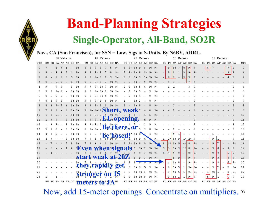

### Nov., CA (San Francisco), for SSN = Low, Sigs in S-Units. By N6BV, ARRL.

|     |    |  | 80 Meters   |       |                                   |  |             | 40 Meters |     |                           |             |  | 20 Meters |       |       |            |                |             |   | 15 Meters |           |       |                 |                      | 10 Meters |    |      |                |
|-----|----|--|-------------|-------|-----------------------------------|--|-------------|-----------|-----|---------------------------|-------------|--|-----------|-------|-------|------------|----------------|-------------|---|-----------|-----------|-------|-----------------|----------------------|-----------|----|------|----------------|
| UTC | RU |  | FE SA AF AS | OC NA |                                   |  | EU FE SA AF | AS        | oc. | NA                        | EU FE SA AF |  | AS        | OC NA |       |            | EU FE SA AF AS |             |   |           | OC NA     |       |                 | EU FE SA AF AS OC NA |           |    |      | UTC            |
| 0   |    |  |             |       | 9+                                |  |             |           |     | $9+$                      |             |  |           |       | $9+$  |            | 9              | 94          |   | 8         | -94       | $9+$  | $6\overline{6}$ |                      |           |    | l 6  | 0              |
|     |    |  |             |       |                                   |  |             |           |     |                           |             |  |           |       | $9+$  |            | 9              |             |   | 9         | 91        | $9+$  |                 |                      |           | 9. |      | $\mathbf{1}$   |
| 2   |    |  |             |       |                                   |  |             |           |     |                           |             |  |           |       | $9 +$ |            | 8              | 7           |   | 3         | 9         |       |                 |                      |           |    |      | $\overline{2}$ |
|     |    |  |             |       |                                   |  |             |           |     |                           |             |  |           |       |       |            |                |             |   |           |           |       |                 |                      |           |    |      |                |
|     |    |  |             |       | 9+                                |  |             |           |     | $9+$                      |             |  |           |       | 94    |            |                |             |   |           |           |       |                 |                      |           |    |      |                |
| 5   |    |  |             |       | 9+                                |  |             |           |     | 9+                        |             |  |           |       |       |            |                |             |   |           |           |       |                 |                      |           |    |      | 5              |
|     |    |  |             |       | 9.                                |  |             |           |     |                           |             |  |           |       |       |            |                |             |   |           |           |       |                 |                      |           |    |      |                |
|     |    |  |             |       | 9+                                |  |             |           |     |                           |             |  |           |       |       |            |                |             |   |           |           |       |                 |                      |           |    |      |                |
| 8   |    |  |             |       | $9+$                              |  |             |           |     |                           |             |  |           |       |       |            |                |             |   |           |           |       |                 |                      |           |    |      | 8              |
| 9   |    |  |             |       | $+9+$                             |  |             |           |     | hort, weak                |             |  |           |       |       |            |                |             |   |           |           |       |                 |                      |           |    |      | 9              |
| 10  |    |  |             |       | -94                               |  |             |           |     |                           |             |  |           |       |       |            |                |             |   |           |           |       |                 |                      |           |    |      | 10             |
| 11  |    |  |             |       | $+9+$                             |  |             |           |     | <b>BU opening</b>         |             |  |           |       |       |            |                |             |   |           |           |       |                 |                      |           |    |      | 11             |
| 12  |    |  |             |       | 9+ 9+                             |  |             |           |     |                           |             |  |           |       |       |            |                |             |   |           |           |       |                 |                      |           |    |      | 12             |
| 13  |    |  |             |       | 9+ 9+                             |  |             |           |     | $\mathbf{B}$ e, there, or |             |  |           |       |       |            |                |             |   |           |           |       |                 |                      |           |    |      | 13             |
| 14  |    |  |             |       | -94                               |  |             |           |     |                           |             |  |           |       |       |            |                |             |   |           |           |       |                 |                      |           |    |      | 14             |
| 15  |    |  |             |       | 9+                                |  |             |           |     | be hosed!                 |             |  |           |       |       |            | 2*             | 9+9         |   | $1*$      | 2*        | 94    |                 | 9                    |           |    |      | 15             |
| 16  |    |  |             |       |                                   |  |             |           |     |                           |             |  |           | 9+    |       | $\epsilon$ | $1*$           | $9 + 9$     |   | $4 *$     | 8         | $9 +$ |                 | 9                    |           |    |      | 16             |
| 17  |    |  |             |       | 9 Even                            |  |             |           |     | 'nen signals              |             |  |           |       |       | 5          | 15             | $9+$        | 9 | $1*$      | 8         | $9 +$ |                 |                      | 8         |    |      | 17             |
| 18  |    |  |             |       |                                   |  |             |           |     |                           |             |  |           |       | $9+$  |            |                | ۹           |   |           | 9+        | $19+$ |                 | 9                    |           | 6  | 9+   | 18             |
| 19  |    |  |             |       |                                   |  |             |           |     | start weak at 20Z         |             |  |           |       | $9+$  |            |                |             |   |           | $9 + 9 +$ |       |                 | 9                    | 8         | 8  | $9+$ | 19             |
| 20  |    |  |             |       |                                   |  |             |           |     |                           | 9           |  |           |       | $9 +$ |            | $\mathbf 1$    | $9+$        |   |           | 9+ 9+     |       |                 | 9                    | 8         | 6  | 9+   | 20             |
| 21  |    |  |             |       |                                   |  |             |           |     | they rapidly get          |             |  |           |       | $9+$  |            | 8              | 9+          | 5 | 1         | $9 + 9 +$ |       |                 | 9                    |           |    |      | 21             |
| 22  |    |  |             |       |                                   |  |             |           |     |                           |             |  |           |       |       |            | 9              |             |   |           |           |       |                 |                      |           |    |      | 22             |
| 23  |    |  |             |       | štronger on 15                    |  |             |           |     |                           |             |  |           |       | 9+    |            | 9              | $9+5$       |   | 1         | $9 + 9 +$ |       | 5               | 9+                   |           | 6  | 9+   | 23             |
|     |    |  |             |       |                                   |  |             |           |     |                           |             |  |           |       |       |            |                | 9+          |   |           | $9 + 9 +$ |       |                 | 9                    |           |    | 9    |                |
|     | ЕU |  |             |       | FE SA AF AS OC I'm eters to JA NA |  |             |           |     |                           |             |  |           | OC NA |       | EU         |                | FE SA AF AS |   |           | OC NA     |       | EU FE           | SA AF AS OC NA       |           |    |      |                |

Now, add 15-meter openings. Concentrate on multipliers. 57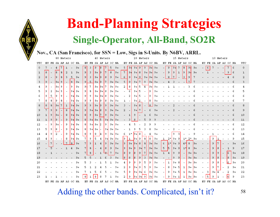

### Nov., CA (San Francisco), for SSN = Low, Sigs in S-Units. By N6BV, ARRL.

|     |             |                          |                          |                          | 80 Meters                |       |           |     |      |                |         | 40 Meters |                      |       |                          |                          |                         |       | 20 Meters                |               |      |              |                          |         |   | 15 Meters |                      |      |    |    | 10 Meters                |                          |                |      |     |
|-----|-------------|--------------------------|--------------------------|--------------------------|--------------------------|-------|-----------|-----|------|----------------|---------|-----------|----------------------|-------|--------------------------|--------------------------|-------------------------|-------|--------------------------|---------------|------|--------------|--------------------------|---------|---|-----------|----------------------|------|----|----|--------------------------|--------------------------|----------------|------|-----|
| UTC |             |                          |                          |                          | EU FE SA AF AS OC NA     |       |           |     |      |                |         |           | EU FE SA AF AS OC NA |       |                          |                          |                         |       | EU FE SA AF AS OC NA     |               |      |              |                          |         |   |           | EU FE SA AF AS OC NA |      |    |    | EU FE SA AF AS OC NA     |                          |                |      | UTC |
| 0   |             |                          | 4                        | $\tau$                   | 1                        |       | $9+$      | 8   | 3    | 9              | 8       | 7         | 5                    | $9+$  | 5.                       | 91                       | $9 - 9$                 |       | 9                        | $9 -$         | $9+$ |              | 9                        | 94      |   | 8         | 91                   | $9+$ | 6  | 7  | $\overline{\phantom{a}}$ | $\overline{\phantom{a}}$ |                | -6   | 0   |
| 1   | 8           |                          | 8                        | 8                        |                          |       | $9+$      | 9   | 3    | $9+$           | 9       | 7         | 8                    | $9+$  | 7                        | 94                       | $9+$                    | 8     |                          | $9 + 9 + 9 +$ |      |              | 9                        |         | 1 | 9         | 91.                  | $9+$ |    |    |                          |                          | 91             | 6    | 1   |
| 2   | 8           |                          | 9                        | 8                        | 3                        | 5     | $9+$      | 9   | 3    | $9+$           | 9       | 8         | 9                    | $9+$  | 6                        | 9                        | $9+$                    | 9     | $9+$                     | $9+$          | $9+$ |              | 8                        | 7       |   | 3         | 9                    |      |    |    |                          |                          |                |      | 2   |
| 3   | 9           | $\overline{\phantom{a}}$ | $9+$                     | 9                        |                          | 8     | $9+$      | 9   | 5    | $9+$           | 9       | 7         | $9 + 9 +$            |       | 5.                       | 9                        | $9+$                    | 7     | 9                        | $9+$          | $9+$ |              |                          |         |   |           | 7                    |      |    |    |                          |                          |                |      | 3   |
| 4   | 9           | $\overline{\phantom{a}}$ | $9+$                     | 9                        |                          | 9     | 9+        | -94 | 7    | 9+             | $9 + 7$ |           | $9 + 19 +$           |       | 2                        | 8                        | $9 + 5$                 |       | 4                        | $9 +$         | $9+$ |              |                          |         |   |           |                      |      |    |    |                          |                          |                |      | 4   |
| 5   | 9           | 2                        | $9+$                     | 9                        | $\overline{\phantom{a}}$ | $9 +$ | 9+        | 9   | 8    | 9+             | $9+8$   |           | $9 + 19 +$           |       | $\overline{\phantom{a}}$ | 6                        | $9+$                    | 5     |                          | 9             | 9+   |              |                          |         |   |           |                      |      |    |    |                          |                          |                |      | 5   |
| 6   | 9           | 5                        | 9                        | 9                        |                          | 94    | 9+        | 9   | 9    | 9+             | $9 + 8$ |           | $9 + 19 +$           |       |                          | 2                        | 9 + I                   | 5     |                          | 9             | 9+   |              |                          |         |   |           |                      |      |    |    |                          |                          |                |      |     |
| 7   | 8           | 8                        | 19                       | 8                        | $\overline{\phantom{a}}$ | 94    | 9+        | 9   | 9    | 9+             | 9       | 8         | $9 + 9 +$            |       | 1                        | $\overline{\phantom{a}}$ | $9+$                    | 2     | $\overline{\phantom{a}}$ | 8             | $9+$ |              |                          |         |   |           |                      |      |    |    |                          |                          |                |      | 7   |
| 8   | 8           | 8                        | $9+$                     | 7                        | $\mathbf{1}$             | $9 +$ | $9+$      | 9   | 9    | $9+$           | Ι9      | <b>19</b> | $9 + 9 +$            |       | 3                        | $\overline{\phantom{a}}$ | $9+$                    | 8     |                          | lя.           | $9+$ |              |                          |         |   |           |                      |      |    |    |                          |                          |                |      | 8   |
| 9   | 7           | 9                        | 19                       |                          | 8                        | $9 +$ | $9+$      | 9   | $9+$ | $9+$           | 8       | <b>9</b>  | $9 + 9 +$            |       | 2                        |                          | $9+$                    | 7     |                          | 6             | 9+   |              |                          |         |   |           |                      |      |    |    |                          |                          |                |      | 9   |
| 10  | $\mathbf 1$ | 9                        | $9+$                     |                          | 8                        | $9 +$ | $9+$      | 8   | 9.   | $9+$           |         | 9         | $9 + 9 +$            |       |                          | $\mathbf{1}$             | 9                       |       |                          |               | $9+$ |              |                          |         |   |           |                      |      |    |    |                          |                          |                |      | 10  |
| 11  | 1           | 9                        | 9                        | $\overline{\phantom{a}}$ | 9                        | $9+$  | $9+$      | 8   | $9+$ | 9+             | 5       | $9+$      | $9 + 9 +$            |       | $\overline{\phantom{0}}$ | 3                        |                         |       |                          |               |      |              |                          |         |   |           |                      |      |    |    |                          |                          |                |      | 11  |
| 12  |             | 9                        | $9+$                     |                          | 9                        | 94    | 9+        | 8   | $9+$ | 9+             | 12      | 9         | 9+                   | $19+$ |                          |                          |                         |       |                          |               | 9    |              |                          |         |   |           |                      |      |    |    |                          |                          |                |      | 12  |
| 13  | 5           | 9                        | 8                        | $\overline{\phantom{a}}$ | 9                        |       | $9 - 9 +$ | 8   | $9+$ | 9+             |         | $9 +$     | $9 + 19 +$           |       |                          |                          |                         |       |                          |               | 9+   |              |                          |         |   |           |                      |      |    |    |                          |                          |                |      | 13  |
|     |             |                          | 2                        |                          |                          | 94    |           |     | 9    |                |         |           | $9 + 9 +$            |       |                          |                          | $9 + 1$                 | 8     |                          |               | $9+$ |              |                          | 9       |   |           |                      |      |    |    |                          |                          |                |      |     |
| 14  | 4           | 9                        |                          | $\overline{\phantom{a}}$ | 9                        |       | 9+        | 8   |      | 8<br>5         | 4       | 9         |                      |       | 6                        | $1*$                     |                         |       |                          |               |      |              |                          |         |   |           |                      |      |    |    |                          |                          |                |      | 14  |
| 15  | 4           | 9                        | $\overline{\phantom{a}}$ | $\overline{\phantom{a}}$ | 8                        | 94    | 9+        | 7   | 9    |                | 4       | 94        | $9 + 19 +$           |       | 9                        | 1                        | $9+$                    | 9     | 8                        | 8             | 9+   | 1            | $2*$                     | 9+9     |   | $1*$      | 2∗                   | 9+   |    | 9  |                          |                          |                | 9    | 15  |
| 16  |             | 7                        |                          |                          | 7                        | 8     | $9+$      |     | 9    | 1              | 4       | 9         | 9+                   | $9+$  | 9                        | $9+$                     | $9+$                    | 8     |                          | $9+$          | $9+$ | 6            | $1*$                     | $9 + 9$ |   | $4*$      | 8                    | $9+$ |    | 9  | 7                        |                          |                | 9+   | 16  |
| 17  |             | 5                        |                          |                          |                          |       | $9+$      |     | 8    |                | 4       | 8         | 9                    | $9+$  | 9                        | $9+$                     | 9                       | $9 -$ |                          | $9+$          | $9+$ | 5.           | 15                       | $9+$    | 9 | $1*$      | 8                    | $9+$ |    | 9  | 8                        |                          | ı              | 9    | 17  |
| 18  |             |                          |                          |                          |                          |       | 9+        | 7   | 8    |                |         |           | 7                    | $9+$  | 8                        | 9                        | l8                      | 9     | 7                        | $9 -$         | $9+$ | $\mathbf{1}$ | 4                        | 9       | 9 |           | $9 + 19 +$           |      |    | 9  | 9                        |                          | 6              | $9+$ | 18  |
| 19  |             |                          |                          |                          |                          |       | 9+        |     |      |                |         |           |                      | $9+$  | 8                        | 8                        | $\overline{\mathbf{8}}$ | 9     | 3                        | $9 +$         | $9+$ |              | $\overline{\phantom{a}}$ | 9       |   |           | 9+                   | $9+$ |    | 9  | 8                        |                          | $\overline{8}$ | $9+$ | 19  |
| 20  |             |                          |                          |                          |                          |       | 9+        |     |      |                |         |           |                      | $9+$  | 4                        | 9                        |                         | 9     | 5                        | 9             | $9+$ |              | 1                        | $9 + 8$ |   |           | $9 + 19 +$           |      |    | 9  | 8                        |                          | 6              | 9+   | 20  |
| 21  |             |                          |                          |                          |                          |       |           |     |      |                |         |           |                      | 9+    | 2                        | 9                        | 9+                      | 9     | 5                        | 9             | $9+$ |              | 8                        | 9+      | 5 | 1         | $9 + 19 +$           |      |    | 9  |                          |                          |                | 9+   | 21  |
| 22  |             |                          |                          |                          |                          |       | 9+        |     |      |                |         |           |                      | $9+$  | 5.                       | 9                        | $9+$                    | 94    | 6                        | 9+            | $9+$ |              | 9                        | 9+      | 5 | 1         | $9 + 19 +$           |      | 3. | 9+ | 4                        |                          | 2              | 9+   | 22  |
| 23  |             |                          |                          |                          |                          |       | 9+        | 8   | л.   | 8              |         |           |                      | 94    | 2                        | 9                        | $9+$                    | $9 -$ | 9                        | $9+$          | $9+$ |              | 9                        | 9+      |   | Ъ.        | $9 + 9 +$            |      | 5  | 9  |                          |                          | 16             | 9    | 23  |
|     |             |                          |                          |                          | EU FE SA AF AS OC NA     |       |           |     |      | EU FE SA AF AS |         |           | OC NA                |       |                          |                          |                         |       | EU FE SA AF AS OC NA     |               |      |              |                          |         |   |           | EU FE SA AF AS OC NA |      |    |    | EU FE SA AF AS OC NA     |                          |                |      |     |

Adding the other bands. Complicated, isn't it?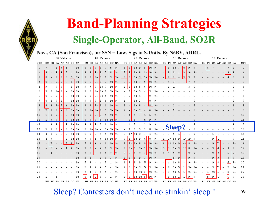

Nov., CA (San Francisco), for SSN = Low, Sigs in S-Units. By N6BV, ARRL.

|     |    |                          |      |                          | 80 Meters                |                          |      |    |             |       | 40 Meters    |    |                      |      |                          |                          |         |                | 20 Meters                |       |       |                          |                          |         |                          | 15 Meters                |                      |       |                          |                          |    | 10 Meters                |                          |                  |                      |     |  |
|-----|----|--------------------------|------|--------------------------|--------------------------|--------------------------|------|----|-------------|-------|--------------|----|----------------------|------|--------------------------|--------------------------|---------|----------------|--------------------------|-------|-------|--------------------------|--------------------------|---------|--------------------------|--------------------------|----------------------|-------|--------------------------|--------------------------|----|--------------------------|--------------------------|------------------|----------------------|-----|--|
| UTC |    |                          |      |                          | EU FE SA AF AS OC NA     |                          |      |    |             |       |              |    | EU FE SA AF AS OC NA |      |                          |                          |         |                | EU FE SA AF AS OC NA     |       |       |                          |                          |         |                          |                          | EU FE SA AF AS OC NA |       |                          |                          |    |                          |                          |                  | EU FE SA AF AS OC NA | UTC |  |
| 0   |    |                          | 4    | 7                        | $\mathbf{1}$             | $\overline{\phantom{a}}$ | $9+$ | 8  | 3           | 9     | 8            | 7  | 5                    | $9+$ | 5.                       | 9.                       | $9 + 9$ |                | 9                        | $9+$  | $9+$  |                          | 9                        | 94      | 7                        | 8                        | -94                  | $9+$  | $\overline{\phantom{0}}$ | 6                        | 7  | $\overline{\phantom{a}}$ | $\overline{\phantom{a}}$ |                  | 6                    | 0   |  |
| 1   | 8  |                          | 8    | 8                        |                          |                          | $9+$ | 9  | 3           | $9+$  | 9            | 7  | 8                    | $9+$ | 7                        | 9.                       | $9+$    | 8              | $9+$                     | $9+$  | $9+$  | $\overline{\phantom{a}}$ | 9                        | 9       | $\mathbf{1}$             | 9                        | -94                  | $9+$  |                          |                          |    |                          |                          | 9                | 6                    | 1   |  |
| 2   | 8  | $\overline{\phantom{a}}$ | 19   | 8                        | 3                        | 5                        | $9+$ | 9  | 3           | 9+    | 9            | 8  | 9                    | $9+$ | 6                        | 9                        | $9+$    | 9              | $9+$                     | $9+$  | $9+$  |                          | 8                        | 7       | $\overline{\phantom{a}}$ | 3                        | 9                    |       |                          |                          |    |                          |                          |                  |                      | 2   |  |
| 3   | 9  | $\overline{\phantom{a}}$ | $9+$ | 9                        | $\overline{\phantom{a}}$ | 8                        | $9+$ | 9  | 5           | $9+$  | 9            | 7  | $9+$                 | $9+$ | 5                        | 9                        | $9+$    | 7              | 9                        | $9+$  | $9+$  |                          |                          |         |                          |                          |                      |       |                          |                          |    |                          |                          |                  |                      | 3   |  |
| 4   | 9  |                          | $9+$ | 9                        | $\overline{\phantom{0}}$ | 9                        | 9+   | 9. | 7           | 9+    | $9 + 1$      | 7  | 9+                   | 9+   | 2                        | 8                        | $9+$    | 5              | 4                        | $9+$  | 9+    |                          |                          |         |                          |                          |                      |       |                          |                          |    |                          |                          |                  |                      |     |  |
| 5   | 9  | 2                        | $9+$ | 9                        | $\overline{\phantom{a}}$ | 94                       | 9+   | 9  | 8           | 9+    | $9 + 1$      | 8  | 9+                   | $9+$ | $\overline{\phantom{0}}$ | 6                        | $9+$    | 5              | $\overline{\phantom{a}}$ | 9     | $9+$  |                          |                          |         |                          |                          |                      |       |                          |                          |    |                          |                          |                  |                      | 5   |  |
| 6   | 9  | 5                        | 9    | 9                        | $\overline{\phantom{a}}$ | 94                       | 9+   | 9  | 9           | 9+    | $9+$         | 8  | 9+                   | $9+$ |                          | 2                        | $9+$    | 5              | $\overline{\phantom{a}}$ | 9     | 9+    |                          |                          |         |                          |                          |                      |       |                          |                          |    |                          |                          |                  |                      |     |  |
| 7   | 8  | 8                        | 19   | 8                        | $\overline{\phantom{a}}$ | 94                       | 9+   | 9  | 9           | $9+$  | 9            | 8  | 9+                   | $9+$ | 1                        | $\overline{\phantom{a}}$ | $9+$    | 2              | $\overline{\phantom{a}}$ | 8     | $9+$  |                          |                          |         |                          |                          |                      |       |                          |                          |    |                          |                          |                  |                      | 7   |  |
| 8   | 8  | 8                        | $9+$ | 7                        | $\mathbf{1}$             | 94                       | $9+$ | 9  | 9           | $9+$  | 9            | 9  | $9 + 19 +$           |      | 3                        | $\overline{\phantom{a}}$ | $9+$    | 8              | $\overline{\phantom{a}}$ | 8     | $9 +$ |                          |                          |         |                          |                          |                      |       |                          |                          |    |                          |                          |                  |                      | 8   |  |
| 9   | 7  | 9                        | 19.  | $\overline{\phantom{a}}$ | 8                        | $9 +$                    | $9+$ | 9  | $9+$        | $9+$  | 8            | 9  | $9+$                 | $9+$ | 2                        |                          | $9+$    | 7              |                          |       |       |                          |                          |         |                          |                          |                      |       |                          |                          |    |                          |                          |                  |                      | 9   |  |
| 10  | 1  | 9                        | $9+$ | $\overline{\phantom{a}}$ | 8                        | 94                       | $9+$ | 8  | 9           | $9+$  |              | 9  | 9+                   | $9+$ |                          | $\mathbf{1}$             | 9       |                |                          |       |       |                          |                          |         |                          |                          |                      |       |                          |                          |    |                          |                          |                  |                      | 10  |  |
|     |    | Q                        | l Q  |                          | Q                        |                          |      | 8  | $9 +$       | $9 +$ |              | ۹. | $9+$                 | $9+$ |                          | ٦                        |         |                |                          |       |       |                          |                          |         |                          |                          |                      |       |                          |                          |    |                          |                          |                  |                      | 11  |  |
| 11  |    |                          |      |                          |                          | $9 +$                    | $9+$ |    |             |       |              |    |                      |      |                          |                          |         |                |                          |       |       |                          |                          |         |                          |                          |                      |       |                          |                          |    |                          |                          |                  |                      |     |  |
| 12  | Ξ. | 9                        | $9+$ | ٠                        | 9                        | 94                       | $9+$ | 8  | $9+$        | 9+    | 12           | 9  | 9+                   | $9+$ |                          |                          |         |                |                          | ۹     | 9     |                          |                          |         |                          |                          |                      |       |                          |                          |    |                          |                          |                  |                      | 12  |  |
| 13  | 5  | 9                        | 18   | $\overline{\phantom{a}}$ | 9                        | $9 +$                    | 9+   | 8  | $9+$        | 9+    |              | 94 | $9 + 19 +$           |      |                          | 1                        | 9       | 5              | 3                        | 8     | $9+$  |                          | <b>Sleep?</b>            |         |                          |                          |                      |       |                          |                          |    |                          |                          |                  |                      | 13  |  |
| 14  | 4  | 9                        | 2    | $\overline{\phantom{a}}$ | 9                        | $9 +$                    | 9+   | 8  | 9           | 8     | 4            | 9  | $9 + 19 +$           |      | 6                        | $1*$                     | $9+$    | 8              | $\overline{a}$           | 4     | 9+    |                          |                          | 9       | 3                        |                          |                      | 9     |                          |                          |    |                          |                          |                  |                      | 14  |  |
| 15  | 4  | 9                        |      | $\overline{\phantom{a}}$ | 8                        | 94                       | 9+   | 7  | 9           | 5     | 4            | 94 | 9+                   | $9+$ | <b>9</b>                 | 1                        | $9+$    | 9              | 8                        | 8     | $9+$  | 1                        | 2*                       | 9+      | 9                        | $1*$                     | 2∗                   | 9+    |                          |                          | 9  |                          |                          |                  | 9                    | 15  |  |
| 16  |    | 7                        |      |                          | 7                        | 8                        | $9+$ | 7  | 9           | 1     | 4            | 9  | $9+$                 | $9+$ | $\overline{9}$           | $9+$                     | $9 +$   | 8              | 8                        | $9 +$ | $9 +$ | 6                        | $1*$                     | $9+$    | -9                       | $4 *$                    | 8                    | $9+$  |                          |                          | 9  | 7                        |                          |                  | $9+$                 | 16  |  |
| 17  |    |                          |      |                          |                          |                          | 9+   | 7  | 8           |       | 4            | 8  | 9                    | $9+$ | $\overline{9}$           | $9+$                     | 19.     | 9 <sub>1</sub> | 7                        | $9+$  | $9+$  | 5                        | l5.                      | $9+$    | 9                        | $1*$                     | 8                    | $9+$  |                          |                          | 9  | 8                        | $\overline{\phantom{a}}$ | 1                | 9                    | 17  |  |
| 18  |    |                          |      |                          |                          |                          | $9+$ | 7  | 8           |       | $\mathbf{1}$ | ୫  | 7                    | $9+$ | $\overline{8}$           | 9                        | 8       | 9              | 7                        | $9+$  | $9+$  | $\mathbf{1}$             | 4                        | 9       | 9                        | $\overline{\phantom{a}}$ | $9+$                 | $9+$  |                          | $\overline{\phantom{a}}$ | 9  | 9                        | $\overline{\phantom{a}}$ | 6                | $9+$                 | 18  |  |
| 19  |    |                          |      |                          |                          |                          | 9+   | 5  |             |       |              |    | 3                    | 9+   | $\overline{8}$           | 8                        | 8       | 9              | $\overline{3}$           | $9+$  | $9+$  | $\overline{\phantom{a}}$ | $\overline{\phantom{a}}$ | 9       | 9                        | $\overline{\phantom{a}}$ | 9+                   | $9+$  |                          | $\overline{\phantom{a}}$ | 9  | 8                        | $\overline{\phantom{a}}$ | $\boldsymbol{8}$ | $9+$                 | 19  |  |
| 20  |    |                          |      |                          |                          |                          | 9+   |    |             |       |              |    |                      | 9+   | 4                        | 9                        | 19      | 9              | 5                        | 9     | $9+$  | $\overline{\phantom{a}}$ | 1                        | 9+8     |                          | $\overline{\phantom{a}}$ | 9+                   | $9+$  | $\overline{\phantom{0}}$ | $\overline{\phantom{0}}$ | 9  | 8                        | $\overline{\phantom{a}}$ | 6                | 9+                   | 20  |  |
| 21  |    |                          |      |                          |                          |                          |      |    |             |       |              |    |                      | 9+   | 2                        | 9                        | $9+$    | 9              | 5                        | 9     | $9+$  | -                        | 8                        | $9+5$   |                          | 1                        | 9+                   | $9+$  |                          | $\overline{\phantom{a}}$ | 9  | 7                        | $\overline{\phantom{a}}$ | 2                | 9+                   | 21  |  |
| 22  |    |                          |      |                          |                          |                          | 9+   |    |             | 5     |              |    |                      | 9+   | 5                        | 9                        | $9 +$   | 94             | 6                        | $9+$  | $9+$  | $\overline{\phantom{a}}$ | 9                        | $9 + 5$ |                          | 1                        | 9+                   | $19+$ |                          | 3                        | 9+ | 4                        |                          | 2                | 9+                   | 22  |  |
| 23  |    |                          |      |                          |                          |                          | 9+   | 8  | $\mathbf 1$ | 8     | 8            |    |                      | $9+$ | 2                        | 9                        | 9+      | $9 +$          | 9                        | $9+$  | $9+$  |                          | 9                        | $9 + 1$ |                          | 1                        | 9+                   | $9+$  |                          | 5                        | 9  | 1                        |                          | $\epsilon$       | 9                    | 23  |  |

Sleep? Contesters don't need no stinkin' sleep !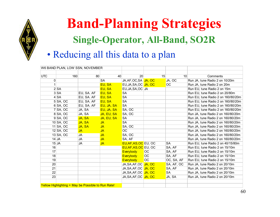

### • Reducing all this data to a plan

|            | W6 BAND PLAN, LOW SSN, NOVEMBER                    |            |            |                       |                 |                 |                                    |
|------------|----------------------------------------------------|------------|------------|-----------------------|-----------------|-----------------|------------------------------------|
|            |                                                    |            |            |                       |                 |                 |                                    |
| <b>UTC</b> | 160                                                | 80         | 40         | 20                    | 15              | 10 <sup>1</sup> | Comments                           |
| 0          |                                                    |            | <b>SA</b>  | JA, AF, OC, SA JA, OC |                 | JA, OC          | Run JA, tune Radio 2 on 10/20m     |
|            |                                                    |            | EU, SA     | EU, JA, SA, OC JA, OC |                 | ОC              | Run JA, tune Radio 2 on 20m        |
|            | 2 SA                                               |            | EU, SA     | EU, JA, SA, OC   JA   |                 |                 | Run EU, tune Radio 2 on 15m        |
|            | 3 SA                                               | EU, SA. AF | EU, SA     | <b>SA</b>             |                 |                 | Run EU, tune Radio 2 on 20/80m     |
|            | 4 SA                                               | EU, SA. AF | EU, SA     | <b>SA</b>             |                 |                 | Run EU, tune Radio 2 on 160/80/20m |
|            | 5 SA, OC                                           | EU, SA. AF | EU, SA     | <b>SA</b>             |                 |                 | Run EU, tune Radio 2 on 160/80/20m |
|            | $6$ SA, OC                                         | EU, SA. AF | EU, JA, SA | <b>SA</b>             |                 |                 | Run EU, tune Radio 2 on 160/80/20m |
|            | 7 SA, OC                                           | JA, SA     | EU, JA, SA | SA, OC                |                 |                 | Run EU, tune Radio 2 on 160/80/20m |
|            | 8 SA, OC                                           | JA, SA     | JA, EU, SA | SA, OC                |                 |                 | Run JA, tune Radio 2 on 160/80/20m |
|            | $9$ SA, OC                                         | JA, SA     | JA, EU, SA | <b>SA</b>             |                 |                 | Run JA, tune Radio 2 on 160/80/20m |
|            | $10$ SA, OC                                        | JA, SA     | <b>JA</b>  | <b>SA</b>             |                 |                 | Run JA, tune Radio 2 on 160/80/20m |
|            | $11$ SA, OC                                        | JA, SA     | <b>JA</b>  | SA, OC                |                 |                 | Run JA, tune Radio 2 on 160/80/20m |
|            | $12$ SA, OC                                        | <b>JA</b>  | <b>JA</b>  | <b>OC</b>             |                 |                 | Run JA, tune Radio 2 on 160/80/20m |
|            | $13$ SA, OC                                        | JA         | <b>JA</b>  | SA, OC                |                 |                 | Run JA, tune Radio 2 on 160/80/20m |
|            | $14$ JA                                            | JA         | <b>JA</b>  | SA, AF                |                 |                 | Run JA, tune Radio 2 on 160/80/20m |
|            | $15$ JA                                            | JA         | JA.        | EU, AF, AS, OC EU, OC |                 | <b>SA</b>       | Run EU, tune Radio 2 on 40/15/80m  |
| 16         |                                                    |            |            | EU, AF, AS, OC EU, OC |                 | SA, AF          | Run EU, tune Radio 2 on 15/10m     |
| 17         |                                                    |            |            | <b>Everybody</b>      | <b>OC</b>       | SA, AF          | Run EU, tune Radio 2 on 15/10m     |
| 18         |                                                    |            |            | <b>Everybody</b>      | OC.             | SA, AF          | Run EU, tune Radio 2 on 15/10m     |
| 19         |                                                    |            |            | <b>Everybody</b>      | $\overline{OC}$ | OC, SA, AF      | Run EU, tune Radio 2 on 15/10m     |
| 20         |                                                    |            |            | JA, SA, AF, OC JA, OC |                 | SA, AF, OC      | Run JA, tune Radio 2 on 20/10m     |
| 21         |                                                    |            |            | JA, SA, AF, OC JA, OC |                 | SA, AF          | Run JA, tune Radio 2 on 20/10m     |
| 22         |                                                    |            |            | JA, SA, AF, OC JA, OC |                 | <b>SA</b>       | Run JA, tune Radio 2 on 20/10m     |
| 23         |                                                    |            |            | JA, SA, AF, OC JA, OC |                 | JA, SA          | Run JA, tune Radio 2 on 20/10m     |
|            |                                                    |            |            |                       |                 |                 |                                    |
|            | Yellow Highlighting = May be Possible to Run Rate! |            |            |                       |                 |                 |                                    |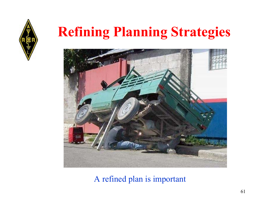

## **Refining Planning Strategies**



### A refined plan is important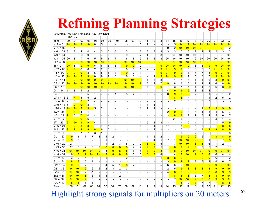

### **Refining Planning Strategies**

| 20 Meters, W6 San Francisco, Nov, Low SSN |                |                |                         |                 |                |                 |                |                         |        |                |                |                |                |                |       |                |              |                |                |                |                |                |                |                |
|-------------------------------------------|----------------|----------------|-------------------------|-----------------|----------------|-----------------|----------------|-------------------------|--------|----------------|----------------|----------------|----------------|----------------|-------|----------------|--------------|----------------|----------------|----------------|----------------|----------------|----------------|----------------|
|                                           | $UTC$ -->      |                |                         |                 |                |                 |                |                         |        |                |                |                |                |                |       |                |              |                |                |                |                |                |                |                |
| Zone                                      | 00             | 01             | 02                      | 03              | 04             | 05              | 06             | 07                      | 08     | 09             | 10             | 11             | 12             | 13             | 14    | 15             | 16           | 17             | 18             | 19             | 20             | 21             | 22             | 23             |
| $KL7 = 01$ $9+$                           |                | $9+$           | 9 <sup>°</sup>          | $9+$            | 8              | 5               | 1              |                         |        | 1              | 5              | $\mathbf{1}$   |                |                |       | 5              | $9+$         | $\overline{9}$ | $9+$           | $9+$           | $9+$           | $9+$           | $9+$           | $9+$           |
| $VO2 = 02   8$                            |                | 7              |                         | ÷.              |                |                 |                |                         |        |                |                |                |                |                | 9     | $\overline{2}$ | $9+$         | $9+$           | $9+$           | $9+$           | $9+$           | $9+$           | $9+$           | $\overline{2}$ |
| $W6 = 03   3$                             |                | 3              | 4                       | 4               | 4              | 3               | 3              | 3                       | 3      | 4              | 3              | 3              | 3              | 3              | 3     | 3              | 3            | 3              | $\overline{2}$ | $\overline{2}$ | 2              | 2              | 3              | 3              |
| $W9 = 04  9+$                             |                | $9+$           | 9+                      | 9               | $\overline{7}$ | 7               | 6              | 8                       | 9      | 9              | 7              | 1              |                | 8              | 9+    | $9+$           | $9+$         | $9+$           | 9+             | $9+$           | $9+$           | $9+$           | 9+             | $9+$           |
| $W3 = 05  9+$                             |                | 8              | 7                       | 6               | 5              | 5               | 6              | 7                       | 8      | 8              | 5              | $\mathbf{1}$   | $\overline{c}$ | 8              | 9+    | $9+$           | 9+           | 9+             | 9              | 9+             | 9+             | 9+             | $9+$           | 9+             |
| $XE1 = 06$                                | $9+$           | 9              | $9+$                    | $9+$            | $9+$           | $9+$            | $9+$           | $9+$                    | $9+$   | $9+$           | $9+$           | 9              | 9              | $9+$           | $9+$  | $9+$           | $9+$         | $9+$           | $9+$           | $9+$           | $9+$           | $9+$           | $9+$           | $9+$           |
| $T = 07$                                  | $9+$           | 3              | 9                       | 9               | 6              | 6               | 5              | 8                       | 9      | 9              | $\overline{2}$ |                |                | 9              | $9+$  | $9+$           | $9+$         | 9              | 8              | 8              | 9              | $\overline{9}$ | $9+$           | $9+$           |
| $VP2 = 08$ $9$                            |                | 9              | 8                       | 6               | 2              | 2               | 3              | 6                       | 8      | 5              | 1              |                |                | 9              | $9+$  | $\overline{9}$ | 9            | 8              | 8              | 8              | 9              | $9+$           | $9+$           | $9+$           |
| $P4 = 09$                                 | 9              | $9+$           | 9                       | 8               | 5              | 5               | 5              | 8                       | 9      | $\overline{7}$ | 1              |                |                | 9              | $9+$  | 9              | 9            | 8              | $\overline{7}$ | $\overline{7}$ | 8              | 9              | $9+$           | $9+$           |
| $HC = 10$                                 | $9+$           | $9+$           | 9                       | 9               | 8              | 8               | 7              | 6                       | $6 \,$ | 3              |                |                | 1              | 9              | $9+$  | 9              | 9            | $\overline{7}$ | 5              | 6              | 7              | 9              | $9+$           | $9+$           |
| $PY1 = 11$                                | $9+$           | $9+$           | $9+$                    | $9+$            | 9              | 9               | 9              | $9+$                    | $9+$   | $9+$           | 9              | 4              | 5              | 8              | 4     | 1              | 1            | 1              | 1              | 4              | 6              | 8              | 9              | $9+$           |
| $CE =$<br>12                              | $9+$           | $9+$           | $9+$                    | $9+$            | $9+$           | $9+$            | $9+$           | $9+$                    | $9+$   | $9+$           | 9              | 8              | 4              | 7              | 9     | 8              | 6            | 3              | 2              | 2              | 4              | 6              | 8              | $9+$           |
| 13<br>$LU =$                              | $9+$           | $9+$           | $9+$                    | $9+$            | $9+$           | 9               | $9+$           | $9+$                    | $9+$   | $9+$           | 9              | $\overline{7}$ | $\overline{c}$ | 9              | 7     | 3              | $\mathbf{1}$ | 1              | 1              | 1              | 3              | $6 \mid$       | 8              | 9              |
| 14<br>$G =$                               | $\vert$ 1      | 3              | $\mathbf{1}$            | $\overline{c}$  | $\overline{a}$ |                 |                | $\equiv$                |        | 1              |                |                |                |                | 4     | 9              | 9            | 9              | 8              | 8              | 4              |                |                |                |
| 15<br>$\vert \vert = \vert$               | 5              | 6              | 6                       | 5               | $\mathbf{1}$   |                 |                | 1                       | 3      | 2              |                |                |                |                | 6     | 9              | 9            | 9              | 7              | 5              | 1              |                | 1              | $\overline{2}$ |
| $UA3 = 16   5$                            |                | 7.             | 5                       | 5               | 2              |                 |                |                         |        | 1              |                |                |                |                |       | 8              | 8            | 4              |                |                | 1              | 2              | 5              | 2              |
| $UN = 17$                                 |                | 6              | 9                       | $\overline{7}$  |                |                 |                |                         |        |                |                |                |                |                |       | 2              | $\mathbf{1}$ | 6              | 5              | 3              | 3              | $\mathbf{1}$   |                |                |
| $U A9 = 18$ 6                             |                | 9              | $9+$                    | 8               | 1              |                 |                |                         |        |                | 1              | 4              | 1              |                |       |                |              |                |                |                |                |                |                | 1              |
| $UA0 = 19$ $9+$                           |                | $9+$           | 9                       | 9               | 5              | 2               | 1              |                         |        |                | 1              | 1              | 1              |                |       |                |              |                |                | $\overline{c}$ | 9              | 9              | 9              |                |
| $4X =$<br>20                              | 8              | 8              | 4                       | 1               |                |                 |                |                         |        |                |                |                |                |                | 2     | $\overline{9}$ | 9            | 8              | 4              | 1              | 3              | 4              | 6              | 7              |
| $HZ =$<br>21                              | $\overline{7}$ | 6              | 7                       | 4               |                |                 |                |                         |        |                |                |                |                |                |       | 8              | 8            | 7              | 7              | 3              | 4              | 5              | 6              | 7              |
| $VU = 22$                                 | 9              | 9              | 9                       | 6               |                |                 |                |                         |        |                |                |                |                |                |       | $2*$           | 4            | 6              | 5              | 3              | 5              | 4              | 1              | 4              |
| $JT =$<br>23                              | 9              | $9+$           | 9                       | 9               | 4              |                 |                |                         |        |                | 1              | 5              | 2              | 3              |       |                | 4            | 2              | 1              |                |                | 1              | 5              | 9              |
| $VS6 = 24$ 8                              |                | 9              | 8                       | 8               | $\overline{7}$ | 4               | 1              |                         |        |                | 1              | 3              | 4              |                | $1*$  |                | 4            | 8              | 6              | 3              |                | 1              | 8              | $\overline{8}$ |
| $JA1 = 25$                                | $\mathbf{q}$   | $\mathsf{Q}$   | $\mathbf{q}$            | 9               | 8              | 6               | $\overline{2}$ |                         |        |                |                |                | $\mathbf{1}$   |                |       |                | 3            | 1              |                | 4              | 9              | 9              | 8              | 9              |
| $HS = 26   8$                             |                | 8              | $\overline{7}$          | $\overline{7}$  | 3              | $\mathbf{1}$    |                |                         |        |                |                |                |                |                |       |                | 8            | 8              | 7              | 5              |                |                |                | 8              |
| $DU = 27$                                 | 9              | 6              | 7                       | $\overline{7}$  | 8              | 5               | $\overline{2}$ |                         |        |                |                | 4              | 6              | $\overline{2}$ |       | $\mathbf{1}$   | $\mathbf{q}$ | $\overline{9}$ | 9              | $\overline{2}$ |                | 8              | 8              | 9              |
| $YB = 28$                                 | 9              | 6              | 3                       | $\overline{2}$  | 3              | 1               | 1              |                         |        |                |                | 2              | 4              | 1              | $1^*$ | 1              | $9+$         | $9+$           | 9              | 8              | 1              | $\mathbf{1}$   | 7              | 9              |
| $VK6 = 29$                                | $2^*$          |                |                         |                 |                | 1               | 2              | 3                       | 5      | 2              | $\overline{2}$ | 8              | 9              | 5              |       | 7              | $9+$         | $9+$           | 8              | 8              | 6              | 1              | $\overline{c}$ | 1              |
| $VK3 = 30$                                | $2^*$          | $\mathbf{1}$   | $\overline{\mathbf{c}}$ | $5\overline{)}$ | $\mathbf{7}$   | 8               | 8              | $\overline{\mathbf{8}}$ | 8      | 4              | 4              | 9              | 9              | 5              | 1     | 8              | 9            | $\overline{9}$ | 8              | 7              | 5              | $\mathbf{2}$   | $\mathbf{1}$   | $1^*$          |
| $KH6 = 31$                                | $9+$           | $9+$           | $9+$                    | $9+$            | 9              | 3               | 9              | 8                       | 8      | 6              | 6              | 8              | 9              | 8              | 4     | 8              | 9            | $9+$           | $9+$           | $9+$           | 9              | 9              | $9+$           | $9+$           |
| $KH8 = 32$                                | 6              | 8              | 9                       | $9+$            | $9+$           | 9               | 8              | 8                       | 8      | 5              | 5              | 8              | 8              | 4              | 1     | 4              | 8            | $9+$           | 9              | 8              | 8              | 6              | 4              | 4              |
| $CN = 33$                                 | 3              | $\overline{2}$ | 4                       | $\overline{4}$  |                | 1 <sup>1</sup>  |                |                         | 2      | 3              |                |                |                | 1              | 8     | 8              | 9            | $\overline{9}$ | 9              | 9              | 9              | 6              | $\overline{7}$ | $\overline{2}$ |
| 34<br>$SU =$                              | 8              | 8              | 6                       | 1               |                |                 |                |                         |        |                |                |                |                |                | 3     | 9              | 9            | 9              | 2              | 3              | $\mathbf{2}$   | 4              | 6              | $\overline{7}$ |
| $6W = 35$                                 | 9              | 8              | 7                       | 7               | 5 <sup>5</sup> | $\vert 4 \vert$ | 5              | $\mathbf{1}$            | 8      | 7              |                |                |                | 5              | 6     | 6              | 6            | $9+$           | 8              | 8              | 9              | 9              | $9+$           | $9+$           |
| $D2 = 36$                                 | $9+$           | $9+$           | 9                       | 6               | 2              | $\overline{2}$  | 3              | $\overline{2}$          | 3      |                |                |                |                |                | 2     | 5              | 9            | $\overline{8}$ | 8              | 8              | 8              | 9              | 9              | $9+$           |
| $5Z =$<br>37                              | $9+$           | $9+$           | 2                       | 2*              |                |                 |                |                         |        |                |                |                |                |                | 4     | 8              | 9            | 9              | 9              | 8              | 8              | 8              | 9              | $\overline{9}$ |
| $ZS6 = 38$                                | $9+$           | $9+$           | 8                       | 6               | 4              | 5               | 1              | $\overline{2}$          |        |                |                |                |                |                | 1     | 8              | 8            | 8              | 6              | 7              | 8              | 8              | 9              | $9+$           |
| $FR = 39$                                 | $9+$           | $9+$           | 9                       | 3               |                |                 |                |                         |        |                |                |                |                |                |       | 7              | $9+$         | $9+$           | 9              | 8              | $\overline{8}$ | 9              | 9              | $9+$           |
| $FJL = 40$                                | 8              | 8              | 6                       | 1               |                |                 |                |                         |        |                |                |                |                |                |       | $\mathbf{1}$   | 8            | $\overline{2}$ | 8              | 7              | $\overline{7}$ | 7              | 8              | $\overline{8}$ |
| Zone                                      | 00             | 01             | 02                      | 03              | 04             | 05              | 06             | 07                      | 08     | 09             | 10             | 11             | 12             | 13             | 14    | 15             | 16           | 17             | 18             | 19             | 20             | 21             | 22             | 23             |
|                                           |                |                |                         |                 |                |                 |                |                         |        |                |                |                |                |                |       |                |              |                |                |                |                |                |                |                |

Highlight strong signals for multipliers on 20 meters.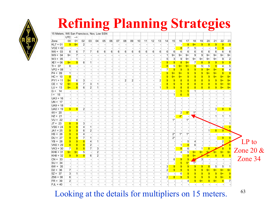

### **Refining Planning Strategies**

| 15 Meters, W6 San Francisco, Nov, Low SSN |                |                |                          |                          |                |          |                |                          |                |                |                  |          |                          |                          |                         |                |                          |                         |                |                         |                          |                          |                         |                         |              |
|-------------------------------------------|----------------|----------------|--------------------------|--------------------------|----------------|----------|----------------|--------------------------|----------------|----------------|------------------|----------|--------------------------|--------------------------|-------------------------|----------------|--------------------------|-------------------------|----------------|-------------------------|--------------------------|--------------------------|-------------------------|-------------------------|--------------|
|                                           | UTC            | -->            |                          |                          |                |          |                |                          |                |                |                  |          |                          |                          |                         |                |                          |                         |                |                         |                          |                          |                         |                         |              |
| Zone                                      | 00             | 01             | 02                       | 03                       | 04             | 05       | 06             | 07                       | 08             | 09             | 10               | 11       | 12                       | 13                       | 14                      | 15             | 16                       | 17                      | 18             | 19                      | 20                       | 21                       | 22                      | 23                      |              |
| $KL7 = 01$                                | 9              | $9+$           | $\overline{c}$           |                          |                |          |                |                          |                |                |                  |          |                          |                          |                         |                | $\overline{\phantom{a}}$ | 8                       | $9+$           | 9                       | 8                        | 9                        | 9                       | 9                       |              |
| $VO2 = 02$                                |                |                | $\overline{\phantom{a}}$ |                          |                |          |                |                          |                |                |                  |          |                          |                          |                         |                | 8                        | $\overline{7}$          | 5              | $\overline{a}$          |                          | 6                        | 8                       |                         |              |
| $W6 = 03$                                 | 6              | 6 <sup>1</sup> | $\overline{7}$           | $\overline{7}$           | $6 \mid$       | $6 \mid$ | 6 <sup>1</sup> | $6 \mid$                 | 6              | $6 \mid$       | $6 \overline{6}$ | $6 \mid$ | $6 \mid$                 | 6                        | 6 <sup>1</sup>          | 6              | $6 \mid$                 | $6 \overline{6}$        | 6              | 6 <sup>1</sup>          | 6                        | $6 \mid$                 | $6 \overline{6}$        | 6                       |              |
| $W9 = 04$                                 | 9+             | $\overline{7}$ | $\overline{\phantom{a}}$ |                          |                |          |                |                          |                |                |                  |          |                          |                          | 1 <sup>1</sup>          | 9+             | 9+                       | 9+                      | 9              | 9                       | 9+                       | $9+$                     | 9+                      | 9+                      |              |
| $W3 = 05$                                 |                | $\vert$        |                          |                          |                |          |                |                          |                |                |                  |          |                          |                          | $\sqrt{5}$              | 3 <sup>2</sup> | 9                        | $9+$                    | $9+$           | 9+                      | 9+                       | $9+$                     | 9                       | $\overline{c}$          |              |
| $XE1 = 06$                                | $9+$           | 9              | $6 \mid$                 | $\mathbf{1}$             |                |          |                |                          |                |                |                  |          |                          |                          | 9                       | 9              | 8                        | $9+$                    | $\overline{7}$ | 8                       | 9                        | 9                        | 9                       | 9                       |              |
| $TI = 07$                                 | 6              |                | $\blacksquare$           |                          |                |          |                |                          |                |                |                  |          |                          | $\overline{\phantom{a}}$ | 8                       | 5              | $9+$                     | $9+$                    | 9              | 5 <sup>5</sup>          | 5                        | 9                        | $\overline{4}$          | 5                       |              |
| $VP2 = 08$                                |                |                |                          |                          |                |          |                |                          |                |                |                  |          |                          |                          | 7                       | 9              | 9                        | 9                       | 9              | 9                       | $9+$                     | $9+$                     | 8                       | $\overline{4}$          |              |
| $P4 = 09$                                 | $\mathbf{1}$   |                | $\overline{\phantom{a}}$ |                          |                |          |                |                          |                |                |                  |          |                          |                          | 9                       | $9+$           | $9+$                     | 9                       | 9              | 9                       | $9+$                     | $9+$                     | $\overline{\mathbf{8}}$ | 9                       |              |
| $HC = 10$                                 | 8              |                |                          |                          |                |          |                |                          |                |                |                  |          |                          | $\overline{\phantom{a}}$ | 9                       | $9+$           | $9+$                     | 9                       | 9              | 9                       | 9                        | $9+$                     | $9+$                    | $9+$                    |              |
| $PY1 = 11$                                | $9+$           | 6 <sup>1</sup> | 3                        | $\overline{\phantom{a}}$ |                |          |                |                          | $\mathbf{2}$   | $\overline{2}$ |                  |          |                          | $\overline{2}$           | 9                       | 9              | 8                        | 8                       | 8              | $\overline{8}$          | 9                        | 9                        | $9+$                    | $9+$                    |              |
| $CE = 12$                                 | $9+$           | 9              | $\overline{7}$           | $\mathbf{3}$             | 1              |          |                |                          |                |                |                  |          |                          |                          | $\overline{\mathbf{8}}$ | 9              | 9                        | $\overline{8}$          | $\overline{8}$ | $\overline{\mathbf{8}}$ | $\overline{\mathbf{8}}$  | 9                        | $9+$                    | $9+$                    |              |
| $LU = 13$                                 | $9+$           | 8              | $6 \mid$                 | $\overline{2}$           | 1              |          |                |                          |                |                |                  |          |                          | $\mathbf{1}$             | 9                       | 9              | $\overline{\mathbf{8}}$  | $\overline{\mathbf{8}}$ | 8              | 8                       | 8                        | 9                        | $9+$                    | $9+$                    |              |
| $G = 14$                                  |                |                |                          |                          |                |          |                |                          |                |                |                  |          |                          |                          |                         |                | $\overline{5}$           | $5\overline{)}$         | $\mathbf{1}$   |                         | $\overline{\phantom{a}}$ |                          |                         |                         |              |
| $1 = 15$                                  |                |                |                          |                          |                |          |                |                          |                |                |                  |          |                          |                          |                         | 1              | $6\phantom{a}$           | $5\overline{)}$         |                |                         |                          |                          |                         |                         |              |
| $UA3 = 16$                                |                |                |                          |                          |                |          |                |                          |                |                |                  |          |                          |                          |                         |                |                          |                         |                |                         |                          |                          |                         |                         |              |
| $UN = 17$                                 |                |                |                          |                          |                |          |                |                          |                |                |                  |          |                          |                          |                         |                |                          |                         |                |                         |                          |                          |                         |                         |              |
| $U A9 = 18$                               |                |                |                          |                          |                |          |                |                          |                |                |                  |          |                          |                          |                         |                |                          |                         |                |                         |                          |                          |                         |                         |              |
| $UA0 = 19$                                | 9              | 8              | $\overline{2}$           |                          |                |          |                |                          |                |                |                  |          |                          |                          |                         |                |                          |                         |                |                         |                          | 3                        | $\overline{8}$          | 9                       |              |
| $4X = 20$                                 |                |                |                          |                          |                |          |                |                          |                |                |                  |          |                          |                          |                         |                | $\mathbf{2}$             | $5*$                    | $1^*$          |                         |                          |                          |                         |                         |              |
| $HZ = 21$                                 |                |                | $\sim$                   |                          |                |          |                |                          |                |                |                  |          |                          |                          |                         |                | $4*$                     |                         | -4             |                         |                          | $\mathbf{1}$             | $\mathbf{1}$            | $\mathbf{1}$            |              |
| $VU = 22$                                 |                | 4              |                          |                          |                |          |                |                          |                |                |                  |          |                          |                          |                         | $1*$           |                          | 1*                      |                |                         |                          |                          |                         |                         |              |
| $JT = 23$                                 | 8              | 9              | $\overline{3}$           |                          |                |          |                |                          |                |                |                  |          |                          |                          |                         |                |                          |                         |                |                         |                          |                          |                         | $\mathbf{1}$            |              |
| $VS6 = 24$                                | 9              | 9              | 4                        | $\vert$                  |                |          |                |                          |                |                |                  |          |                          |                          |                         |                |                          |                         |                |                         |                          |                          | $\blacktriangleleft$    | 9                       |              |
| $JA1 = 25$                                | 9              | 9              | 6                        | $\overline{2}$           |                |          |                |                          |                |                |                  |          |                          |                          |                         |                |                          |                         |                |                         | 1                        | 8                        | 9                       |                         |              |
| $HS = 26$                                 | 9              | 9              | $\overline{4}$           |                          |                |          |                |                          |                |                |                  |          |                          |                          |                         | $2^*$          | $1*$                     | $1*$                    |                |                         |                          |                          |                         | $\mathbf{1}$            |              |
| $DU = 27$                                 | 9              | 9              | $\overline{7}$           | $\mathbf{1}$             |                |          |                |                          |                |                |                  |          |                          |                          |                         | $2^*$          |                          |                         |                |                         |                          | $\overline{a}$           | 9                       | 9                       |              |
| $YB = 28$                                 | 9              | 9              | 8                        | $\overline{4}$           | 1              |          |                |                          |                |                |                  |          |                          |                          |                         |                |                          | 5                       | $\overline{4}$ |                         |                          |                          | $\overline{2}$          | $\alpha$                | LP to        |
| $VK6 = 29$                                | 8              | 8              | 8                        | $\overline{2}$           |                |          |                |                          |                |                |                  |          |                          |                          |                         |                | $\mathbf{1}$             | 8                       | 6              |                         |                          |                          | $\overline{a}$          | $\overline{8}$          |              |
| $VK3 = 30$                                | $\overline{7}$ | $\overline{8}$ | 8                        | $\overline{7}$           | $\mathbf{3}$   |          |                |                          |                |                |                  |          |                          |                          |                         |                | 8                        | 6                       |                | $\overline{1}$          | 8                        | $\circ$                  | $\overline{8}$          | $\boldsymbol{8}$        |              |
| $KH6 = 31$                                | $9+$           | $9+$           | 5 <sup>5</sup>           |                          | $\overline{2}$ |          |                |                          |                |                |                  |          |                          |                          |                         |                | $\overline{4}$           | 5 <sup>1</sup>          | $9+$           | $9+$                    | $9 -$                    | $9+$                     | $9+$                    | $9+$                    | Zone $20 \&$ |
| $KH8 = 32$                                | 9              | 9              | 9                        | 6                        | $\overline{2}$ |          |                |                          |                |                |                  |          |                          |                          |                         |                | $\overline{a}$           | 8                       | $9+$           |                         | $9+$                     | 8                        | 8                       | $\overline{\mathbf{8}}$ |              |
| $CN = 33$                                 |                |                |                          |                          |                |          |                |                          |                |                |                  |          |                          |                          |                         | 6              | 9                        | 9                       | ত              | 3                       |                          |                          |                         |                         | Zone 34      |
| $SU = 34$                                 |                |                |                          |                          |                |          |                |                          |                |                |                  |          |                          |                          |                         |                | $\overline{\mathbf{5}}$  | $5*$                    | $1^*$          |                         |                          | $\overline{\phantom{a}}$ |                         |                         |              |
| $6W = 35$                                 |                |                |                          |                          |                |          |                |                          |                |                |                  |          |                          |                          | 3                       | 9              | 9                        | 9                       | 9              | 9                       | 8                        | 5 <sup>5</sup>           | 5 <sup>5</sup>          | $\mathbf{1}$            |              |
| $D2 = 36$                                 | 7              |                |                          |                          |                |          |                |                          |                |                |                  |          |                          |                          | $\overline{2}$          | 9              | 9                        | 9                       | 9              | 9                       | $9+$                     | $9+$                     | $9+$                    | $9+$                    |              |
| $5Z = 37$                                 | 3              | $\mathbf{1}$   |                          |                          |                |          |                |                          |                |                |                  |          |                          |                          |                         |                | 6                        | 9                       | 9              | 9                       | 9                        | 9                        | $9+$                    | 9                       |              |
| $ZS6 = 38$                                | 6              |                |                          |                          |                |          |                |                          |                |                |                  |          |                          |                          | 2                       | 8              | 9                        | 9                       | 9              | 9                       | 9                        | 9                        | $9+$                    | $\overline{8}$          |              |
| $FR = 39$                                 | $\overline{2}$ |                | $\overline{\phantom{a}}$ |                          |                |          |                | $\overline{\phantom{a}}$ | $\overline{a}$ |                |                  |          | $\overline{\phantom{a}}$ | $\overline{\phantom{a}}$ |                         |                |                          | 4                       | 9              | $9+$                    | 9                        | $9+$                     | 8                       | 7                       |              |
| $FJL = 40$                                |                |                |                          |                          |                |          |                |                          |                |                |                  |          |                          |                          |                         |                |                          |                         |                |                         |                          |                          |                         |                         |              |
|                                           |                |                |                          |                          |                |          |                |                          |                |                |                  |          |                          |                          |                         |                |                          |                         |                |                         |                          |                          |                         |                         |              |

Looking at the details for multipliers on 15 meters.

63